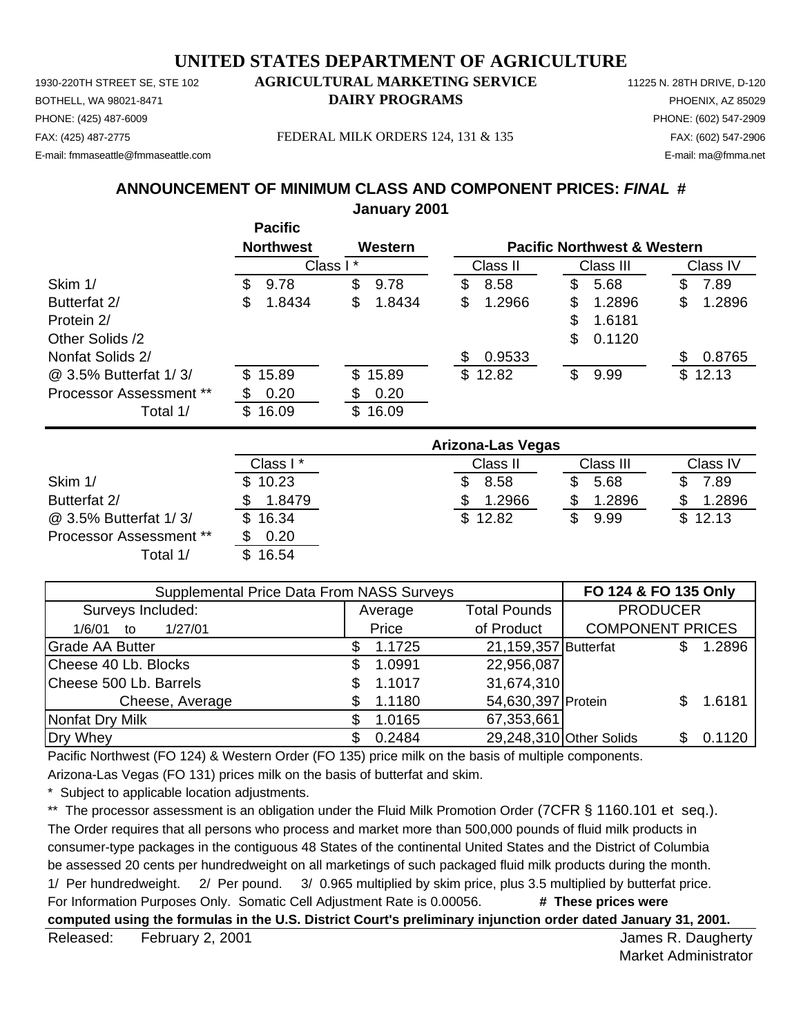PHONE: (425) 487-6009 PHONE: (602) 547-2909 E-mail: fmmaseattle@fmmaseattle.com E-mail: ma@fmma.net

# 1930-220TH STREET SE, STE 102 **AGRICULTURAL MARKETING SERVICE** 11225 N. 28TH DRIVE, D-120 BOTHELL, WA 98021-8471 **DAIRY PROGRAMS** PHOENIX, AZ 85029

FAX: (425) 487-2775 FEDERAL MILK ORDERS 124, 131 & 135 FAX: (602) 547-2906

# **ANNOUNCEMENT OF MINIMUM CLASS AND COMPONENT PRICES:** *FINAL* **#**

**January 2001**

|                         | <b>Pacific</b>   |              |              |                                        |              |
|-------------------------|------------------|--------------|--------------|----------------------------------------|--------------|
|                         | <b>Northwest</b> | Western      |              | <b>Pacific Northwest &amp; Western</b> |              |
|                         |                  | Class I*     | Class II     | Class III                              | Class IV     |
| Skim 1/                 | 9.78<br>S.       | \$<br>9.78   | 8.58<br>\$   | 5.68<br>S                              | 7.89<br>S    |
| Butterfat 2/            | S<br>1.8434      | \$<br>1.8434 | \$<br>1.2966 | \$<br>1.2896                           | \$<br>1.2896 |
| Protein 2/              |                  |              |              | \$<br>1.6181                           |              |
| Other Solids /2         |                  |              |              | \$<br>0.1120                           |              |
| Nonfat Solids 2/        |                  |              | 0.9533<br>S  |                                        | 0.8765       |
| @ 3.5% Butterfat 1/3/   | \$15.89          | \$15.89      | \$12.82      | \$<br>9.99                             | \$12.13      |
| Processor Assessment ** | 0.20             | \$<br>0.20   |              |                                        |              |
| Total 1/                | 16.09<br>\$      | 16.09<br>\$. |              |                                        |              |

|                                | Arizona-Las Vegas |          |           |          |  |  |
|--------------------------------|-------------------|----------|-----------|----------|--|--|
|                                | Class I*          | Class II | Class III | Class IV |  |  |
| Skim 1/                        | \$10.23           | 8.58     | 5.68      | 7.89     |  |  |
| Butterfat 2/                   | 1.8479            | 1.2966   | 1.2896    | 1.2896   |  |  |
| @ 3.5% Butterfat 1/3/          | \$16.34           | \$12.82  | 9.99      | \$12.13  |  |  |
| <b>Processor Assessment **</b> | 0.20              |          |           |          |  |  |
| Total 1/                       | 16.54             |          |           |          |  |  |

| Supplemental Price Data From NASS Surveys | FO 124 & FO 135 Only |                      |                         |    |        |
|-------------------------------------------|----------------------|----------------------|-------------------------|----|--------|
| Surveys Included:                         | Average              | <b>PRODUCER</b>      |                         |    |        |
| 1/27/01<br>1/6/01<br>to                   | of Product<br>Price  |                      | <b>COMPONENT PRICES</b> |    |        |
| <b>Grade AA Butter</b>                    | 1.1725               | 21,159,357 Butterfat |                         |    | 1.2896 |
| Cheese 40 Lb. Blocks                      | 1.0991               | 22,956,087           |                         |    |        |
| Cheese 500 Lb. Barrels                    | 1.1017               | 31,674,310           |                         |    |        |
| Cheese, Average                           | 1.1180               | 54,630,397 Protein   |                         |    | 1.6181 |
| Nonfat Dry Milk                           | 1.0165               | 67,353,661           |                         |    |        |
| Dry Whey                                  | 0.2484               |                      | 29,248,310 Other Solids | S. | 0.1120 |

Pacific Northwest (FO 124) & Western Order (FO 135) price milk on the basis of multiple components.

Arizona-Las Vegas (FO 131) prices milk on the basis of butterfat and skim.

Subject to applicable location adjustments.

\*\* The processor assessment is an obligation under the Fluid Milk Promotion Order (7CFR § 1160.101 et seq.). The Order requires that all persons who process and market more than 500,000 pounds of fluid milk products in consumer-type packages in the contiguous 48 States of the continental United States and the District of Columbia be assessed 20 cents per hundredweight on all marketings of such packaged fluid milk products during the month. 1/ Per hundredweight. 2/ Per pound. 3/ 0.965 multiplied by skim price, plus 3.5 multiplied by butterfat price. For Information Purposes Only. Somatic Cell Adjustment Rate is 0.00056. **# These prices were computed using the formulas in the U.S. District Court's preliminary injunction order dated January 31, 2001.**

Released: February 2, 2001 **Contract Contract Contract Contract Contract Contract Contract Contract Contract Contract Contract Contract Contract Contract Contract Contract Contract Contract Contract Contract Contract Contr** February 2, 2001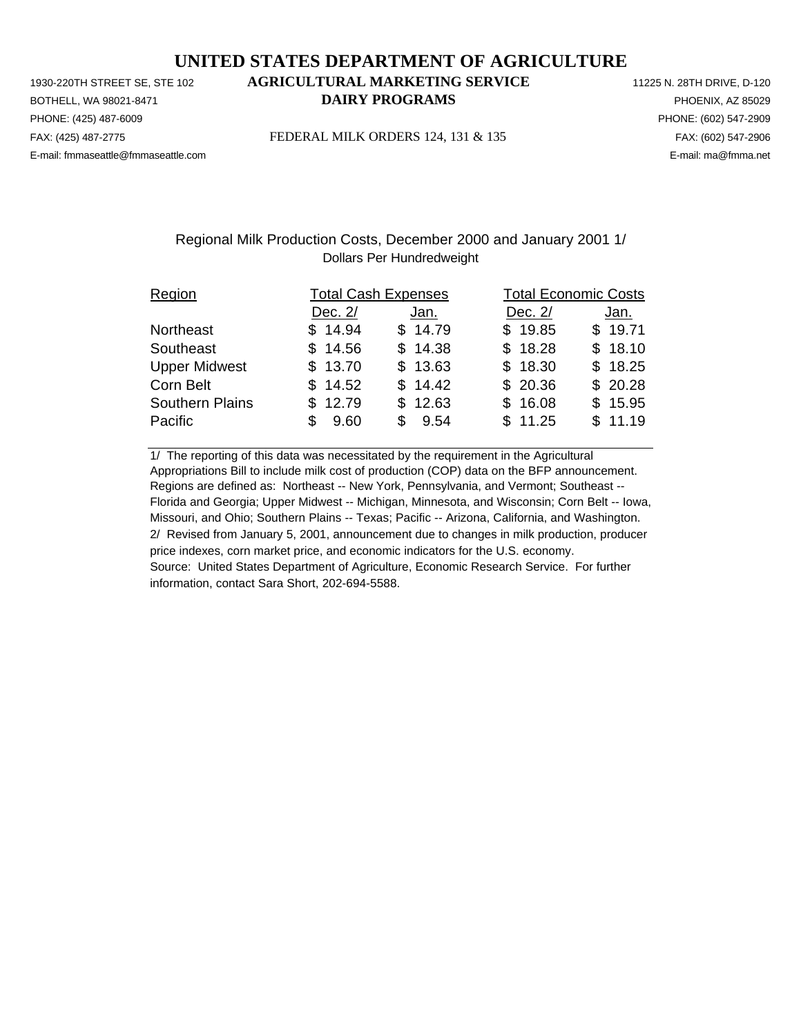PHONE: (425) 487-6009 PHONE: (602) 547-2909 E-mail: fmmaseattle@fmmaseattle.com E-mail: ma@fmma.net

# 1930-220TH STREET SE, STE 102 **AGRICULTURAL MARKETING SERVICE** 11225 N. 28TH DRIVE, D-120 BOTHELL, WA 98021-8471 **DAIRY PROGRAMS** PHOENIX, AZ 85029

FAX: (425) 487-2775 FEDERAL MILK ORDERS 124, 131 & 135 FAX: (602) 547-2906

## Regional Milk Production Costs, December 2000 and January 2001 1/ Dollars Per Hundredweight

| Region                 | <b>Total Cash Expenses</b> |         |           | <b>Total Economic Costs</b> |  |  |  |
|------------------------|----------------------------|---------|-----------|-----------------------------|--|--|--|
|                        | Dec. 2/                    | Jan.    | Dec. $2/$ | Jan.                        |  |  |  |
| Northeast              | \$14.94                    | \$14.79 | \$19.85   | \$19.71                     |  |  |  |
| Southeast              | \$14.56                    | \$14.38 | \$18.28   | \$18.10                     |  |  |  |
| <b>Upper Midwest</b>   | \$13.70                    | \$13.63 | \$18.30   | \$18.25                     |  |  |  |
| Corn Belt              | \$14.52                    | \$14.42 | \$20.36   | \$20.28                     |  |  |  |
| <b>Southern Plains</b> | \$12.79                    | \$12.63 | \$16.08   | \$15.95                     |  |  |  |
| Pacific                | 9.60<br>\$.                | \$9.54  | \$11.25   | \$11.19                     |  |  |  |

1/ The reporting of this data was necessitated by the requirement in the Agricultural Appropriations Bill to include milk cost of production (COP) data on the BFP announcement. Regions are defined as: Northeast -- New York, Pennsylvania, and Vermont; Southeast -- Florida and Georgia; Upper Midwest -- Michigan, Minnesota, and Wisconsin; Corn Belt -- Iowa, Missouri, and Ohio; Southern Plains -- Texas; Pacific -- Arizona, California, and Washington. 2/ Revised from January 5, 2001, announcement due to changes in milk production, producer price indexes, corn market price, and economic indicators for the U.S. economy. Source: United States Department of Agriculture, Economic Research Service. For further information, contact Sara Short, 202-694-5588.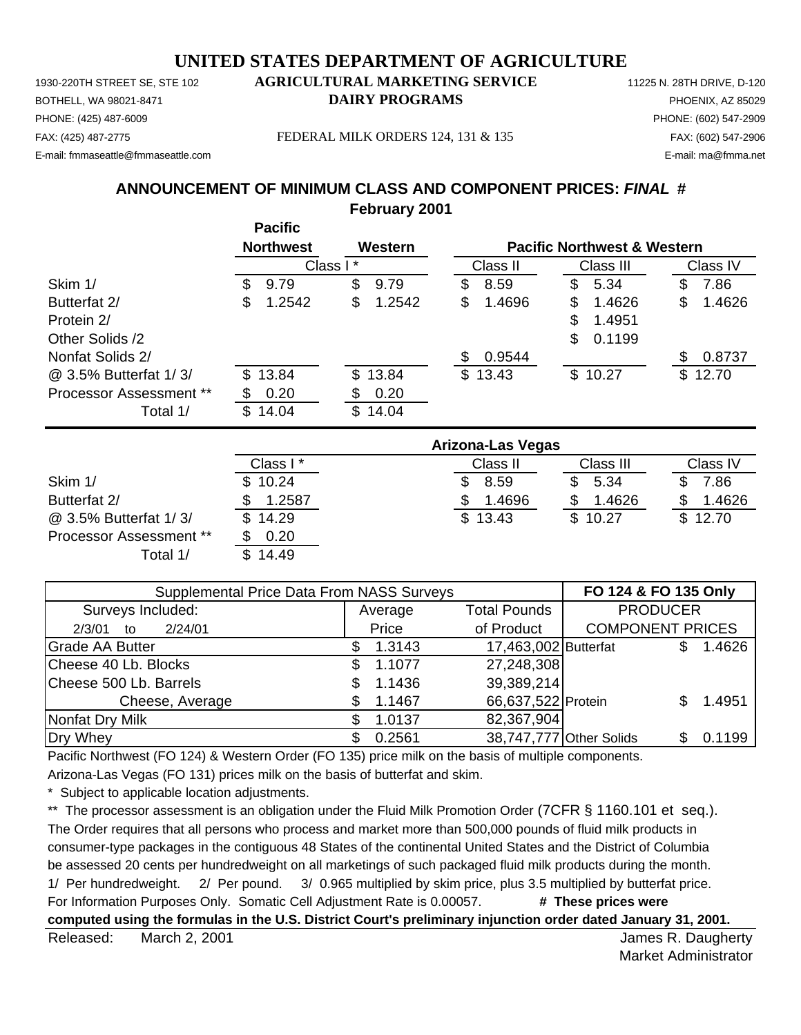1930-220TH STREET SE, STE 102 **AGRICULTURAL MARKETING SERVICE** 11225 N. 28TH DRIVE, D-120 PHONE: (425) 487-6009 PHONE: (602) 547-2909 E-mail: fmmaseattle@fmmaseattle.com E-mail: ma@fmma.net

# BOTHELL, WA 98021-8471 **DAIRY PROGRAMS** PHOENIX, AZ 85029

FAX: (425) 487-2775 FEDERAL MILK ORDERS 124, 131 & 135 FAX: (602) 547-2906

**ANNOUNCEMENT OF MINIMUM CLASS AND COMPONENT PRICES:** *FINAL* **#**

**February 2001**

|                         | <b>Pacific</b>   |              |               |                                        |              |
|-------------------------|------------------|--------------|---------------|----------------------------------------|--------------|
|                         | <b>Northwest</b> | Western      |               | <b>Pacific Northwest &amp; Western</b> |              |
|                         |                  | Class I*     | Class II      | Class III                              | Class IV     |
| Skim 1/                 | 9.79<br>S        | \$<br>9.79   | 8.59<br>\$    | 5.34<br>\$                             | 7.86<br>\$   |
| Butterfat 2/            | 1.2542<br>S      | \$<br>1.2542 | 1.4696<br>S   | 1.4626<br>S                            | 1.4626<br>\$ |
| Protein 2/              |                  |              |               | \$<br>1.4951                           |              |
| Other Solids /2         |                  |              |               | \$<br>0.1199                           |              |
| Nonfat Solids 2/        |                  |              | 0.9544<br>\$. |                                        | 0.8737<br>S  |
| @ 3.5% Butterfat 1/3/   | \$13.84          | \$13.84      | \$13.43       | \$10.27                                | \$12.70      |
| Processor Assessment ** | 0.20             | 0.20<br>S    |               |                                        |              |
| Total 1/                | \$14.04          | \$<br>14.04  |               |                                        |              |

|                                | Arizona-Las Vegas |          |           |          |  |  |  |
|--------------------------------|-------------------|----------|-----------|----------|--|--|--|
|                                | Class I*          | Class II | Class III | Class IV |  |  |  |
| Skim 1/                        | \$10.24           | 8.59     | 5.34      | 7.86     |  |  |  |
| Butterfat 2/                   | 1.2587            | 1.4696   | 1.4626    | 1.4626   |  |  |  |
| @ 3.5% Butterfat 1/3/          | \$14.29           | \$13.43  | \$10.27   | \$12.70  |  |  |  |
| <b>Processor Assessment **</b> | 0.20              |          |           |          |  |  |  |
| Total 1/                       | \$14.49           |          |           |          |  |  |  |

| <b>Supplemental Price Data From NASS Surveys</b> | FO 124 & FO 135 Only |                      |                                        |
|--------------------------------------------------|----------------------|----------------------|----------------------------------------|
| Surveys Included:                                | Average              | <b>Total Pounds</b>  | <b>PRODUCER</b>                        |
| 2/24/01<br>2/3/01<br>to                          | Price                | of Product           | <b>COMPONENT PRICES</b>                |
| <b>Grade AA Butter</b>                           | 1.3143               | 17,463,002 Butterfat | 1.4626                                 |
| Cheese 40 Lb. Blocks                             | 1.1077<br>\$.        | 27,248,308           |                                        |
| Cheese 500 Lb. Barrels                           | 1.1436               | 39,389,214           |                                        |
| Cheese, Average                                  | 1.1467               | 66,637,522 Protein   | 1.4951                                 |
| Nonfat Dry Milk                                  | 1.0137               | 82,367,904           |                                        |
| Dry Whey                                         | 0.2561               |                      | 38,747,777 Other Solids<br>0.1199<br>Ж |

Pacific Northwest (FO 124) & Western Order (FO 135) price milk on the basis of multiple components.

Arizona-Las Vegas (FO 131) prices milk on the basis of butterfat and skim.

Subject to applicable location adjustments.

\*\* The processor assessment is an obligation under the Fluid Milk Promotion Order (7CFR § 1160.101 et seq.). The Order requires that all persons who process and market more than 500,000 pounds of fluid milk products in consumer-type packages in the contiguous 48 States of the continental United States and the District of Columbia be assessed 20 cents per hundredweight on all marketings of such packaged fluid milk products during the month. 1/ Per hundredweight. 2/ Per pound. 3/ 0.965 multiplied by skim price, plus 3.5 multiplied by butterfat price. For Information Purposes Only. Somatic Cell Adjustment Rate is 0.00057. **# These prices were computed using the formulas in the U.S. District Court's preliminary injunction order dated January 31, 2001.**

Released: March 2, 2001 **Contract Contract Contract Contract Contract Contract Contract Contract Contract Contract Contract Contract Contract Contract Contract Contract Contract Contract Contract Contract Contract Contract** March 2, 2001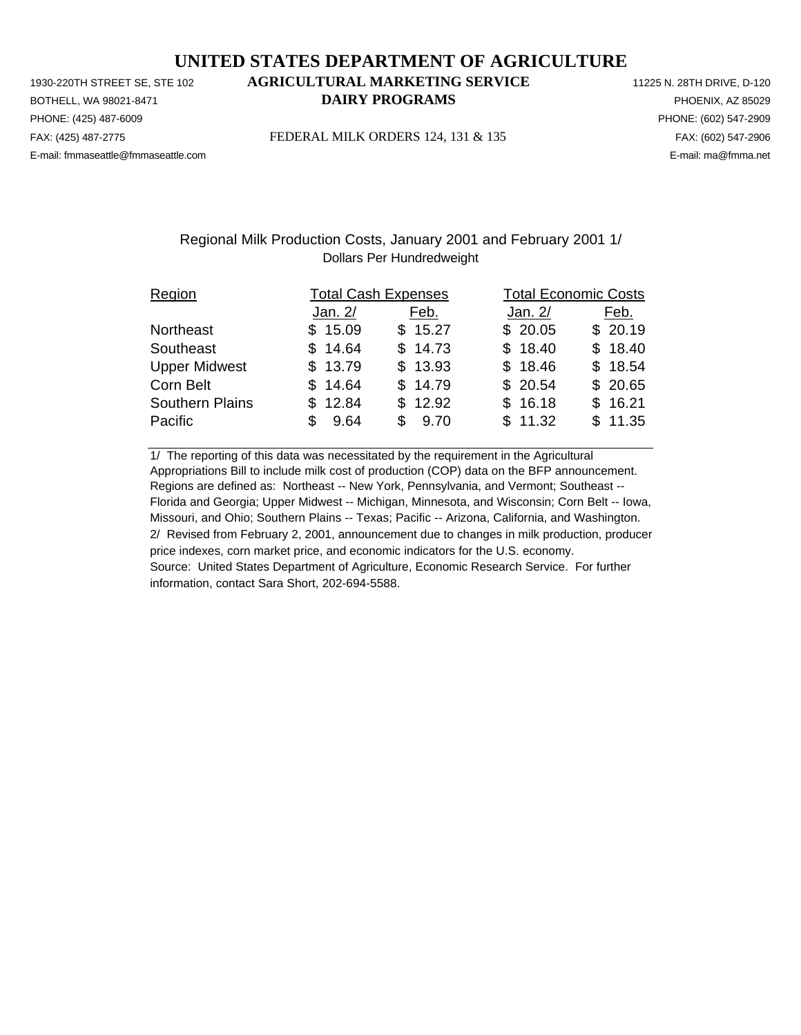PHONE: (425) 487-6009 PHONE: (602) 547-2909 E-mail: fmmaseattle@fmmaseattle.com E-mail: ma@fmma.net

# 1930-220TH STREET SE, STE 102 **AGRICULTURAL MARKETING SERVICE** 11225 N. 28TH DRIVE, D-120 BOTHELL, WA 98021-8471 **DAIRY PROGRAMS** PHOENIX, AZ 85029

FAX: (425) 487-2775 FEDERAL MILK ORDERS 124, 131 & 135 FAX: (602) 547-2906

## Regional Milk Production Costs, January 2001 and February 2001 1/ Dollars Per Hundredweight

| Region                 | <b>Total Cash Expenses</b> |         | <b>Total Economic Costs</b> |         |
|------------------------|----------------------------|---------|-----------------------------|---------|
|                        | Jan. 2/                    | Feb.    | Jan. 2/                     | Feb.    |
| Northeast              | \$15.09                    | \$15.27 | \$20.05                     | \$20.19 |
| Southeast              | \$14.64                    | \$14.73 | \$18.40                     | \$18.40 |
| <b>Upper Midwest</b>   | \$13.79                    | \$13.93 | \$18.46                     | \$18.54 |
| Corn Belt              | \$14.64                    | \$14.79 | \$20.54                     | \$20.65 |
| <b>Southern Plains</b> | \$12.84                    | \$12.92 | \$16.18                     | \$16.21 |
| Pacific                | 9.64<br>\$.                | \$9.70  | \$11.32                     | \$11.35 |

1/ The reporting of this data was necessitated by the requirement in the Agricultural Appropriations Bill to include milk cost of production (COP) data on the BFP announcement. Regions are defined as: Northeast -- New York, Pennsylvania, and Vermont; Southeast -- Florida and Georgia; Upper Midwest -- Michigan, Minnesota, and Wisconsin; Corn Belt -- Iowa, Missouri, and Ohio; Southern Plains -- Texas; Pacific -- Arizona, California, and Washington. 2/ Revised from February 2, 2001, announcement due to changes in milk production, producer price indexes, corn market price, and economic indicators for the U.S. economy. Source: United States Department of Agriculture, Economic Research Service. For further information, contact Sara Short, 202-694-5588.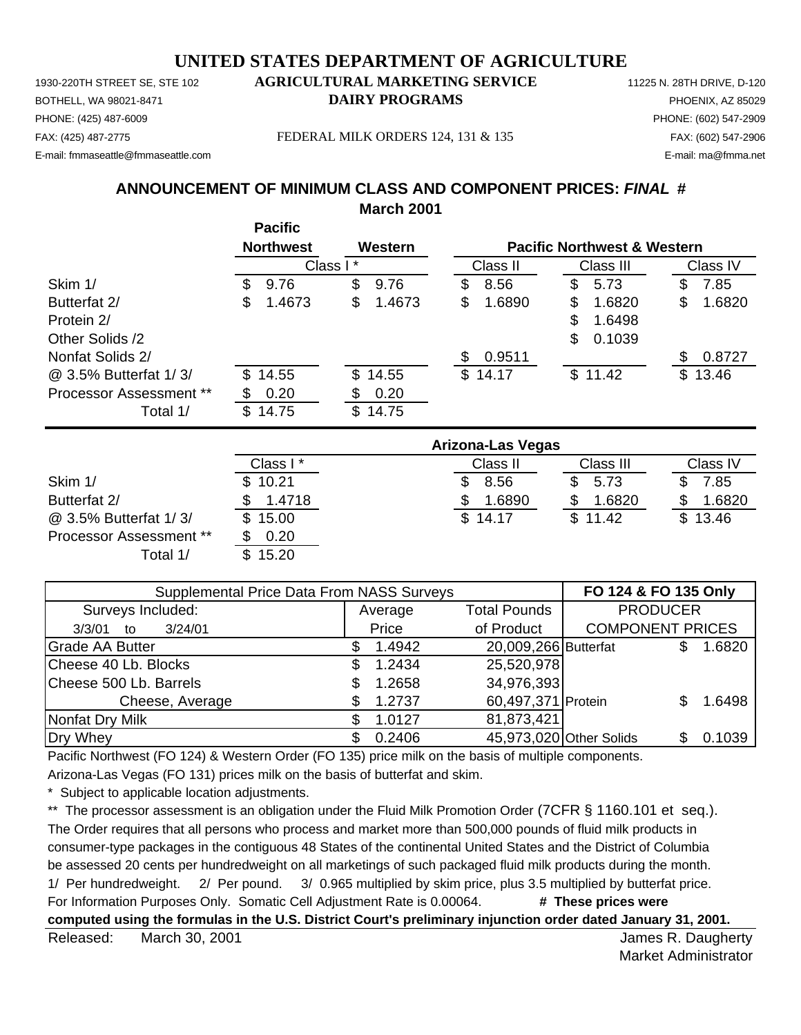1930-220TH STREET SE, STE 102 **AGRICULTURAL MARKETING SERVICE** 11225 N. 28TH DRIVE, D-120 PHONE: (425) 487-6009 PHONE: (602) 547-2909 E-mail: fmmaseattle@fmmaseattle.com E-mail: ma@fmma.net

# BOTHELL, WA 98021-8471 **DAIRY PROGRAMS** PHOENIX, AZ 85029

FAX: (425) 487-2775 FEDERAL MILK ORDERS 124, 131 & 135 FAX: (602) 547-2906

# **ANNOUNCEMENT OF MINIMUM CLASS AND COMPONENT PRICES:** *FINAL* **#**

**March 2001**

|                                |    | <b>Pacific</b>   |          |         |    |          |    |                                        |    |          |
|--------------------------------|----|------------------|----------|---------|----|----------|----|----------------------------------------|----|----------|
|                                |    | <b>Northwest</b> |          | Western |    |          |    | <b>Pacific Northwest &amp; Western</b> |    |          |
|                                |    |                  | Class I* |         |    | Class II |    | Class III                              |    | Class IV |
| Skim 1/                        | S. | 9.76             | \$       | 9.76    | \$ | 8.56     | \$ | 5.73                                   | \$ | 7.85     |
| Butterfat 2/                   | S  | 1.4673           | \$       | 1.4673  | \$ | 1.6890   | S  | 1.6820                                 | \$ | 1.6820   |
| Protein 2/                     |    |                  |          |         |    |          | \$ | 1.6498                                 |    |          |
| Other Solids /2                |    |                  |          |         |    |          | \$ | 0.1039                                 |    |          |
| Nonfat Solids 2/               |    |                  |          |         | S  | 0.9511   |    |                                        | S  | 0.8727   |
| @ 3.5% Butterfat 1/3/          |    | \$14.55          |          | \$14.55 |    | \$14.17  |    | \$11.42                                |    | \$13.46  |
| <b>Processor Assessment **</b> |    | 0.20             |          | 0.20    |    |          |    |                                        |    |          |
| Total 1/                       | S. | 14.75            | \$       | 14.75   |    |          |    |                                        |    |          |

|                         | Arizona-Las Vegas |          |             |          |  |  |
|-------------------------|-------------------|----------|-------------|----------|--|--|
|                         | Class I*          | Class II | Class III   | Class IV |  |  |
| Skim 1/                 | \$10.21           | 8.56     | 5.73<br>\$. | 7.85     |  |  |
| Butterfat 2/            | 1.4718            | 1.6890   | 1.6820      | 1.6820   |  |  |
| @ 3.5% Butterfat 1/3/   | \$15.00           | \$14.17  | \$11.42     | \$13.46  |  |  |
| Processor Assessment ** | 0.20              |          |             |          |  |  |
| Total 1/                | \$15.20           |          |             |          |  |  |

| Supplemental Price Data From NASS Surveys | FO 124 & FO 135 Only |                     |                      |                         |    |                         |  |  |
|-------------------------------------------|----------------------|---------------------|----------------------|-------------------------|----|-------------------------|--|--|
| Surveys Included:                         |                      | Average             | <b>PRODUCER</b>      |                         |    |                         |  |  |
| 3/24/01<br>3/3/01<br>to                   |                      | of Product<br>Price |                      |                         |    | <b>COMPONENT PRICES</b> |  |  |
| <b>Grade AA Butter</b>                    |                      | 1.4942              | 20,009,266 Butterfat |                         |    | 1.6820                  |  |  |
| Cheese 40 Lb. Blocks                      | S                    | 1.2434              | 25,520,978           |                         |    |                         |  |  |
| Cheese 500 Lb. Barrels                    |                      | 1.2658              | 34,976,393           |                         |    |                         |  |  |
| Cheese, Average                           |                      | 1.2737              | 60,497,371 Protein   |                         |    | 1.6498                  |  |  |
| Nonfat Dry Milk                           |                      | 1.0127              | 81,873,421           |                         |    |                         |  |  |
| Dry Whey                                  |                      | 0.2406              |                      | 45,973,020 Other Solids | SБ | 0.1039                  |  |  |

Pacific Northwest (FO 124) & Western Order (FO 135) price milk on the basis of multiple components.

Arizona-Las Vegas (FO 131) prices milk on the basis of butterfat and skim.

Subject to applicable location adjustments.

\*\* The processor assessment is an obligation under the Fluid Milk Promotion Order (7CFR § 1160.101 et seq.). The Order requires that all persons who process and market more than 500,000 pounds of fluid milk products in consumer-type packages in the contiguous 48 States of the continental United States and the District of Columbia be assessed 20 cents per hundredweight on all marketings of such packaged fluid milk products during the month. 1/ Per hundredweight. 2/ Per pound. 3/ 0.965 multiplied by skim price, plus 3.5 multiplied by butterfat price. For Information Purposes Only. Somatic Cell Adjustment Rate is 0.00064. **# These prices were computed using the formulas in the U.S. District Court's preliminary injunction order dated January 31, 2001.**

Released: March 30, 2001 **Contract Contract Contract Contract Contract Contract Contract Contract Contract Contract Contract Contract Contract Contract Contract Contract Contract Contract Contract Contract Contract Contrac** March 30, 2001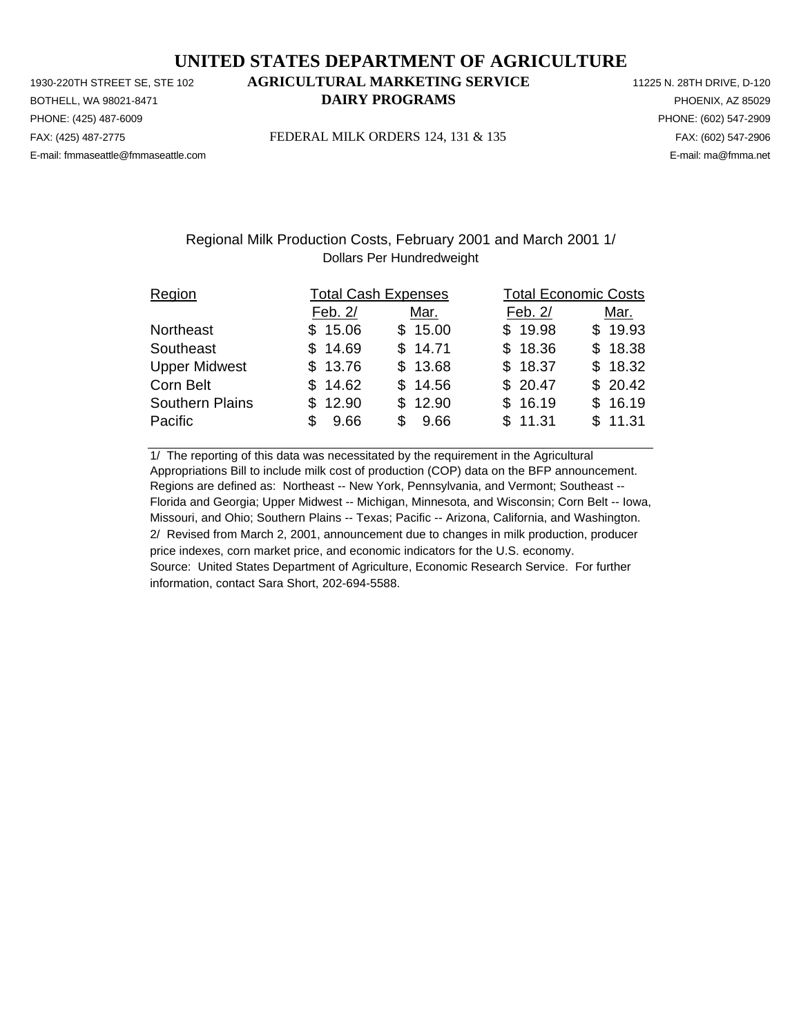PHONE: (425) 487-6009 PHONE: (602) 547-2909 E-mail: fmmaseattle@fmmaseattle.com E-mail: ma@fmma.net

# 1930-220TH STREET SE, STE 102 **AGRICULTURAL MARKETING SERVICE** 11225 N. 28TH DRIVE, D-120 BOTHELL, WA 98021-8471 **DAIRY PROGRAMS** PHOENIX, AZ 85029

FAX: (425) 487-2775 FEDERAL MILK ORDERS 124, 131 & 135 FAX: (602) 547-2906

### Regional Milk Production Costs, February 2001 and March 2001 1/ Dollars Per Hundredweight

| Region                 | <b>Total Cash Expenses</b> |            | <b>Total Economic Costs</b> |         |  |  |
|------------------------|----------------------------|------------|-----------------------------|---------|--|--|
|                        | Feb. 2/                    | Mar.       | Feb. 2/                     | Mar.    |  |  |
| Northeast              | \$15.06                    | \$15.00    | \$19.98                     | \$19.93 |  |  |
| Southeast              | \$14.69                    | \$14.71    | \$18.36                     | \$18.38 |  |  |
| <b>Upper Midwest</b>   | \$13.76                    | \$13.68    | \$18.37                     | \$18.32 |  |  |
| Corn Belt              | \$14.62                    | \$14.56    | \$20.47                     | \$20.42 |  |  |
| <b>Southern Plains</b> | \$12.90                    | \$12.90    | \$16.19                     | \$16.19 |  |  |
| Pacific                | 9.66<br>\$.                | 9.66<br>S. | \$11.31                     | \$11.31 |  |  |

1/ The reporting of this data was necessitated by the requirement in the Agricultural Appropriations Bill to include milk cost of production (COP) data on the BFP announcement. Regions are defined as: Northeast -- New York, Pennsylvania, and Vermont; Southeast -- Florida and Georgia; Upper Midwest -- Michigan, Minnesota, and Wisconsin; Corn Belt -- Iowa, Missouri, and Ohio; Southern Plains -- Texas; Pacific -- Arizona, California, and Washington. 2/ Revised from March 2, 2001, announcement due to changes in milk production, producer price indexes, corn market price, and economic indicators for the U.S. economy. Source: United States Department of Agriculture, Economic Research Service. For further information, contact Sara Short, 202-694-5588.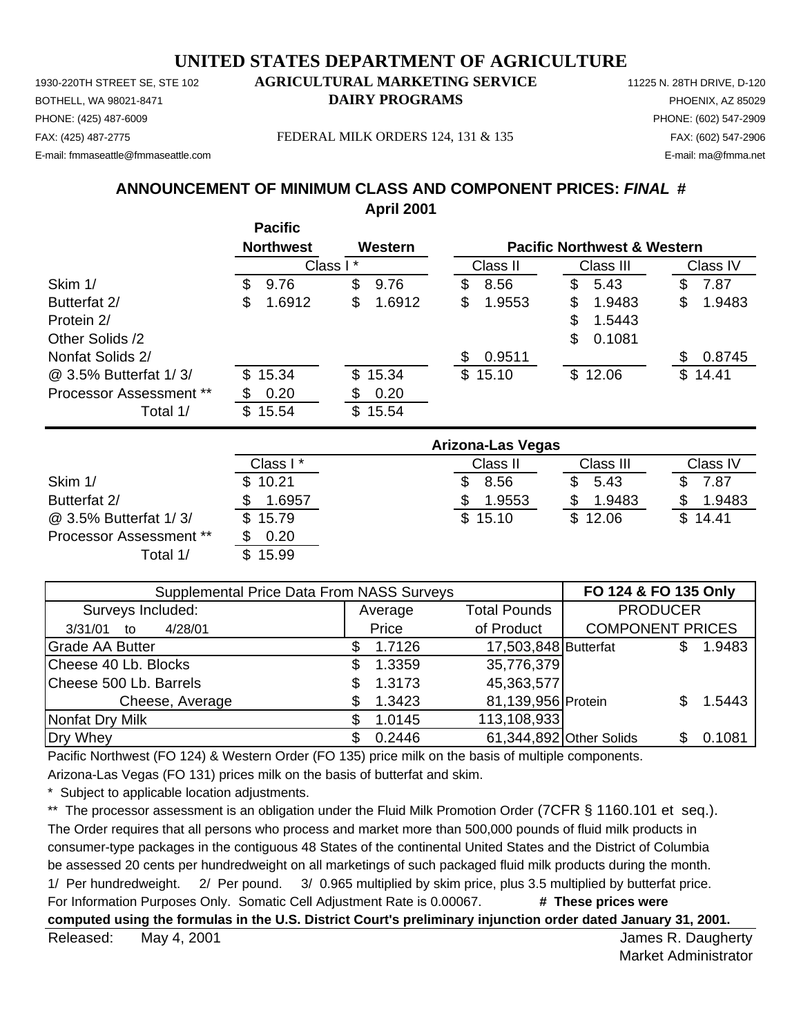1930-220TH STREET SE, STE 102 **AGRICULTURAL MARKETING SERVICE** 11225 N. 28TH DRIVE, D-120 PHONE: (425) 487-6009 PHONE: (602) 547-2909 E-mail: fmmaseattle@fmmaseattle.com E-mail: ma@fmma.net

# BOTHELL, WA 98021-8471 **DAIRY PROGRAMS** PHOENIX, AZ 85029

FAX: (425) 487-2775 FEDERAL MILK ORDERS 124, 131 & 135 FAX: (602) 547-2906

# **ANNOUNCEMENT OF MINIMUM CLASS AND COMPONENT PRICES:** *FINAL* **#**

**April 2001**

|                                |     | <b>Pacific</b>       |              |     |          |    |                                        |    |          |
|--------------------------------|-----|----------------------|--------------|-----|----------|----|----------------------------------------|----|----------|
|                                |     | <b>Northwest</b>     | Western      |     |          |    | <b>Pacific Northwest &amp; Western</b> |    |          |
|                                |     | Class I <sup>*</sup> |              |     | Class II |    | Class III                              |    | Class IV |
| Skim 1/                        | \$. | 9.76                 | \$<br>9.76   | \$  | 8.56     | S  | 5.43                                   | \$ | 7.87     |
| Butterfat 2/                   | S   | 1.6912               | \$<br>1.6912 | \$  | 1.9553   | \$ | 1.9483                                 | \$ | 1.9483   |
| Protein 2/                     |     |                      |              |     |          | \$ | 1.5443                                 |    |          |
| Other Solids /2                |     |                      |              |     |          | \$ | 0.1081                                 |    |          |
| Nonfat Solids 2/               |     |                      |              | \$. | 0.9511   |    |                                        | S  | 0.8745   |
| @ 3.5% Butterfat 1/3/          |     | \$15.34              | \$15.34      |     | \$15.10  |    | \$12.06                                |    | \$14.41  |
| <b>Processor Assessment **</b> |     | 0.20                 | \$<br>0.20   |     |          |    |                                        |    |          |
| Total 1/                       |     | \$15.54              | \$<br>15.54  |     |          |    |                                        |    |          |

|                                | Arizona-Las Vegas |          |           |          |  |  |  |
|--------------------------------|-------------------|----------|-----------|----------|--|--|--|
|                                | Class I*          | Class II | Class III | Class IV |  |  |  |
| Skim 1/                        | \$10.21           | 8.56     | 5.43      | 7.87     |  |  |  |
| Butterfat 2/                   | 1.6957            | 1.9553   | 1.9483    | 1.9483   |  |  |  |
| @ 3.5% Butterfat 1/3/          | \$15.79           | \$15.10  | \$12.06   | \$14.41  |  |  |  |
| <b>Processor Assessment **</b> | 0.20              |          |           |          |  |  |  |
| Total 1/                       | \$15.99           |          |           |          |  |  |  |

| Supplemental Price Data From NASS Surveys | FO 124 & FO 135 Only |                     |                         |                         |  |        |
|-------------------------------------------|----------------------|---------------------|-------------------------|-------------------------|--|--------|
| Surveys Included:                         |                      | Average             | <b>PRODUCER</b>         |                         |  |        |
| 4/28/01<br>3/31/01<br>to                  |                      | Price<br>of Product |                         | <b>COMPONENT PRICES</b> |  |        |
| <b>Grade AA Butter</b>                    | S                    | 1.7126              | 17,503,848 Butterfat    |                         |  | 1.9483 |
| Cheese 40 Lb. Blocks                      | S                    | 1.3359              | 35,776,379              |                         |  |        |
| Cheese 500 Lb. Barrels                    |                      | 1.3173              | 45,363,577              |                         |  |        |
| Cheese, Average                           |                      | 1.3423              | 81,139,956 Protein      |                         |  | 1.5443 |
| Nonfat Dry Milk                           |                      | 1.0145              | 113,108,933             |                         |  |        |
| Dry Whey                                  |                      | 0.2446              | 61,344,892 Other Solids |                         |  | 0.1081 |

Pacific Northwest (FO 124) & Western Order (FO 135) price milk on the basis of multiple components.

Arizona-Las Vegas (FO 131) prices milk on the basis of butterfat and skim.

Subject to applicable location adjustments.

\*\* The processor assessment is an obligation under the Fluid Milk Promotion Order (7CFR § 1160.101 et seq.). The Order requires that all persons who process and market more than 500,000 pounds of fluid milk products in consumer-type packages in the contiguous 48 States of the continental United States and the District of Columbia be assessed 20 cents per hundredweight on all marketings of such packaged fluid milk products during the month. 1/ Per hundredweight. 2/ Per pound. 3/ 0.965 multiplied by skim price, plus 3.5 multiplied by butterfat price. For Information Purposes Only. Somatic Cell Adjustment Rate is 0.00067. **# These prices were computed using the formulas in the U.S. District Court's preliminary injunction order dated January 31, 2001.**

Released: May 4, 2001 **Notifiable 2008** and the set of the set of the set of the set of the set of the set of the set of the set of the set of the set of the set of the set of the set of the set of the set of the set of th May 4, 2001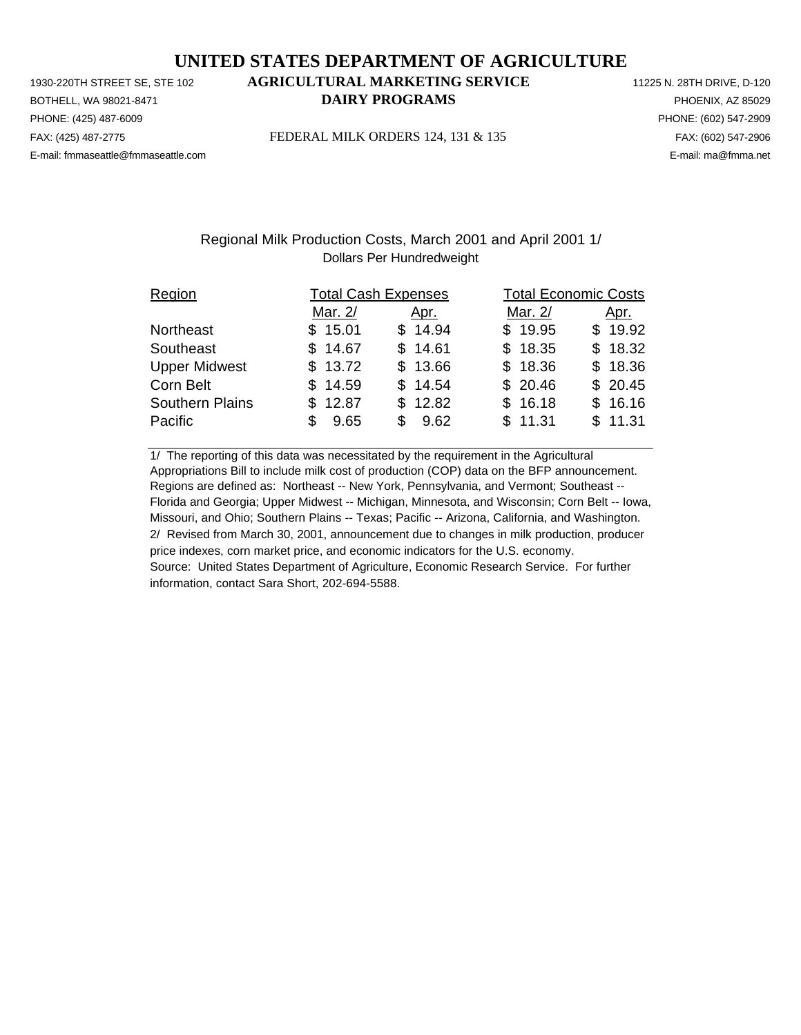PHONE: (425) 487-6009 PHONE: (602) 547-2909 E-mail: fmmaseattle@fmmaseattle.com E-mail: ma@fmma.net

# 1930-220TH STREET SE, STE 102 **AGRICULTURAL MARKETING SERVICE** 11225 N. 28TH DRIVE, D-120 BOTHELL, WA 98021-8471 **DAIRY PROGRAMS** PHOENIX, AZ 85029

FAX: (425) 487-2775 FEDERAL MILK ORDERS 124, 131 & 135 FAX: (602) 547-2906

## Regional Milk Production Costs, March 2001 and April 2001 1/ Dollars Per Hundredweight

| Region                 | <b>Total Cash Expenses</b> |             |         | <b>Total Economic Costs</b> |  |  |  |
|------------------------|----------------------------|-------------|---------|-----------------------------|--|--|--|
|                        | Mar. 2/                    | Apr.        | Mar. 2/ | <u>Apr.</u>                 |  |  |  |
| Northeast              | \$15.01                    | \$14.94     | \$19.95 | \$19.92                     |  |  |  |
| Southeast              | \$14.67                    | \$14.61     | \$18.35 | \$18.32                     |  |  |  |
| <b>Upper Midwest</b>   | \$13.72                    | \$13.66     | \$18.36 | \$18.36                     |  |  |  |
| Corn Belt              | \$14.59                    | \$14.54     | \$20.46 | \$20.45                     |  |  |  |
| <b>Southern Plains</b> | \$12.87                    | \$12.82     | \$16.18 | \$16.16                     |  |  |  |
| Pacific                | 9.65<br>\$.                | 9.62<br>\$. | \$11.31 | \$11.31                     |  |  |  |

1/ The reporting of this data was necessitated by the requirement in the Agricultural Appropriations Bill to include milk cost of production (COP) data on the BFP announcement. Regions are defined as: Northeast -- New York, Pennsylvania, and Vermont; Southeast -- Florida and Georgia; Upper Midwest -- Michigan, Minnesota, and Wisconsin; Corn Belt -- Iowa, Missouri, and Ohio; Southern Plains -- Texas; Pacific -- Arizona, California, and Washington. 2/ Revised from March 30, 2001, announcement due to changes in milk production, producer price indexes, corn market price, and economic indicators for the U.S. economy. Source: United States Department of Agriculture, Economic Research Service. For further information, contact Sara Short, 202-694-5588.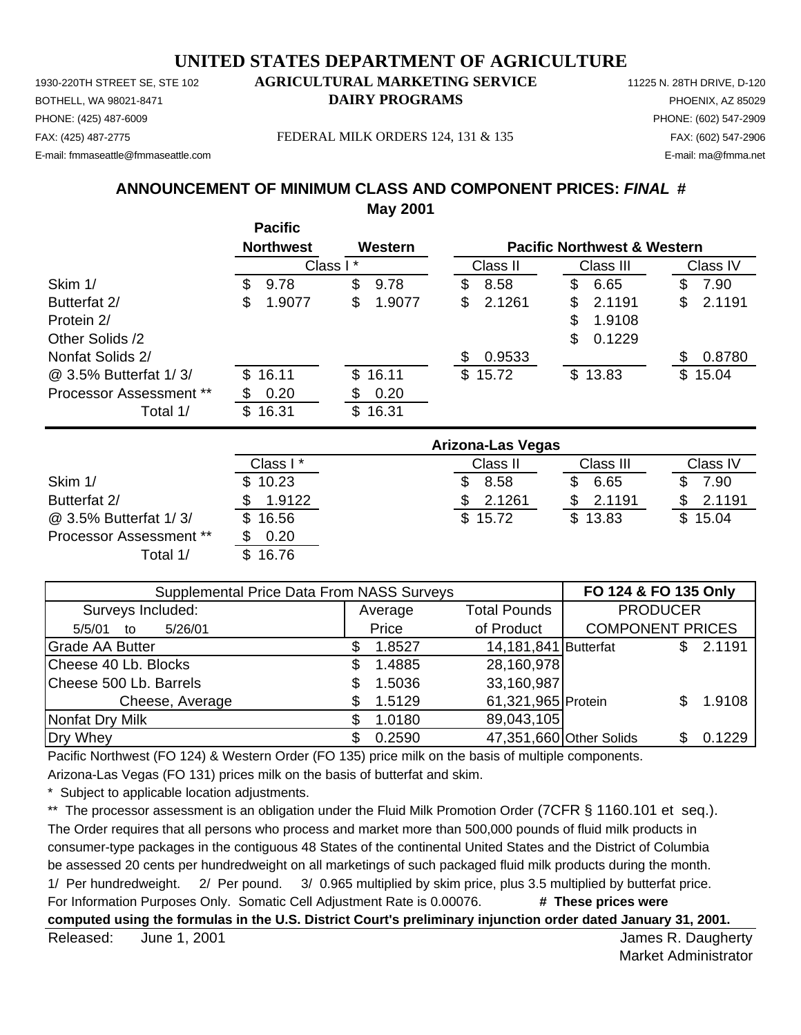1930-220TH STREET SE, STE 102 **AGRICULTURAL MARKETING SERVICE** 11225 N. 28TH DRIVE, D-120 PHONE: (425) 487-6009 PHONE: (602) 547-2909 E-mail: fmmaseattle@fmmaseattle.com E-mail: ma@fmma.net

# BOTHELL, WA 98021-8471 **DAIRY PROGRAMS** PHOENIX, AZ 85029

FAX: (425) 487-2775 FEDERAL MILK ORDERS 124, 131 & 135 FAX: (602) 547-2906

# **ANNOUNCEMENT OF MINIMUM CLASS AND COMPONENT PRICES:** *FINAL* **#**

**May 2001**

|                         |     | <b>Pacific</b>   |          |         |     |          |    |                                        |     |          |
|-------------------------|-----|------------------|----------|---------|-----|----------|----|----------------------------------------|-----|----------|
|                         |     | <b>Northwest</b> |          | Western |     |          |    | <b>Pacific Northwest &amp; Western</b> |     |          |
|                         |     |                  | Class I* |         |     | Class II |    | Class III                              |     | Class IV |
| Skim 1/                 | \$. | 9.78             | \$       | 9.78    | \$  | 8.58     | S  | 6.65                                   | S   | 7.90     |
| Butterfat 2/            | \$  | 1.9077           | \$       | 1.9077  | \$  | 2.1261   | S  | 2.1191                                 | \$  | 2.1191   |
| Protein 2/              |     |                  |          |         |     |          | \$ | 1.9108                                 |     |          |
| Other Solids /2         |     |                  |          |         |     |          | \$ | 0.1229                                 |     |          |
| Nonfat Solids 2/        |     |                  |          |         | \$. | 0.9533   |    |                                        | \$. | 0.8780   |
| @ 3.5% Butterfat 1/3/   | \$  | 16.11            | \$.      | 16.11   |     | \$15.72  |    | \$13.83                                |     | \$15.04  |
| Processor Assessment ** |     | 0.20             |          | 0.20    |     |          |    |                                        |     |          |
| Total 1/                | \$. | 16.31            |          | \$16.31 |     |          |    |                                        |     |          |

|                                | Arizona-Las Vegas |          |           |          |  |  |  |
|--------------------------------|-------------------|----------|-----------|----------|--|--|--|
|                                | Class I*          | Class II | Class III | Class IV |  |  |  |
| Skim 1/                        | \$10.23           | 8.58     | 6.65      | 7.90     |  |  |  |
| Butterfat 2/                   | 1.9122            | 2.1261   | 2.1191    | 2.1191   |  |  |  |
| @ 3.5% Butterfat 1/3/          | \$16.56           | \$15.72  | \$13.83   | \$15.04  |  |  |  |
| <b>Processor Assessment **</b> | 0.20              |          |           |          |  |  |  |
| Total 1/                       | \$16.76           |          |           |          |  |  |  |

| Supplemental Price Data From NASS Surveys | FO 124 & FO 135 Only |                                |                         |                         |     |        |
|-------------------------------------------|----------------------|--------------------------------|-------------------------|-------------------------|-----|--------|
| Surveys Included:                         |                      | <b>Total Pounds</b><br>Average |                         | <b>PRODUCER</b>         |     |        |
| 5/26/01<br>5/5/01<br>to                   |                      | Price<br>of Product            |                         | <b>COMPONENT PRICES</b> |     |        |
| <b>Grade AA Butter</b>                    |                      | 1.8527                         | 14,181,841 Butterfat    |                         | S.  | 2.1191 |
| Cheese 40 Lb. Blocks                      | S                    | 1.4885                         | 28,160,978              |                         |     |        |
| Cheese 500 Lb. Barrels                    |                      | 1.5036                         | 33,160,987              |                         |     |        |
| Cheese, Average                           | S                    | 1.5129                         | 61,321,965 Protein      |                         |     | 1.9108 |
| Nonfat Dry Milk                           |                      | 1.0180                         | 89,043,105              |                         |     |        |
| Dry Whey                                  |                      | 0.2590                         | 47,351,660 Other Solids |                         | SS. | 0.1229 |

Pacific Northwest (FO 124) & Western Order (FO 135) price milk on the basis of multiple components.

Arizona-Las Vegas (FO 131) prices milk on the basis of butterfat and skim.

Subject to applicable location adjustments.

\*\* The processor assessment is an obligation under the Fluid Milk Promotion Order (7CFR § 1160.101 et seq.). The Order requires that all persons who process and market more than 500,000 pounds of fluid milk products in consumer-type packages in the contiguous 48 States of the continental United States and the District of Columbia be assessed 20 cents per hundredweight on all marketings of such packaged fluid milk products during the month. 1/ Per hundredweight. 2/ Per pound. 3/ 0.965 multiplied by skim price, plus 3.5 multiplied by butterfat price. For Information Purposes Only. Somatic Cell Adjustment Rate is 0.00076. **# These prices were computed using the formulas in the U.S. District Court's preliminary injunction order dated January 31, 2001.**

Released: James R. Daugherty June 1, 2001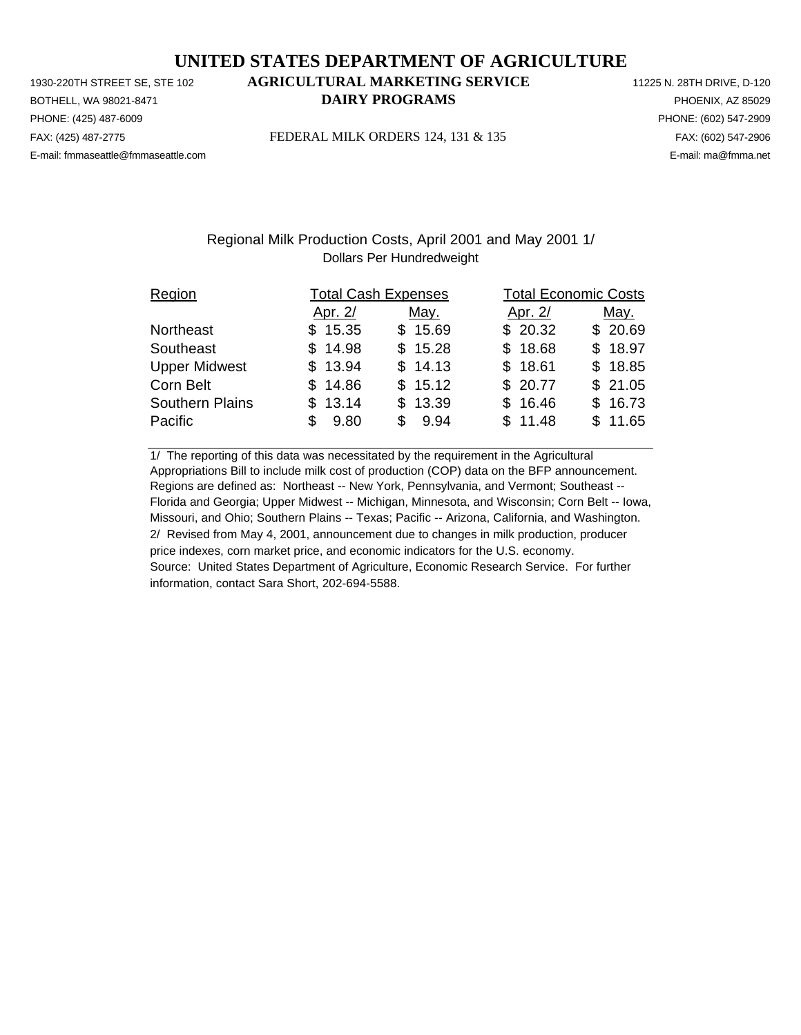PHONE: (425) 487-6009 PHONE: (602) 547-2909 E-mail: fmmaseattle@fmmaseattle.com E-mail: ma@fmma.net

# 1930-220TH STREET SE, STE 102 **AGRICULTURAL MARKETING SERVICE** 11225 N. 28TH DRIVE, D-120 BOTHELL, WA 98021-8471 **DAIRY PROGRAMS** PHOENIX, AZ 85029

FAX: (425) 487-2775 FEDERAL MILK ORDERS 124, 131 & 135 FAX: (602) 547-2906

## Regional Milk Production Costs, April 2001 and May 2001 1/ Dollars Per Hundredweight

| Region                 |            | <b>Total Cash Expenses</b> | <b>Total Economic Costs</b> |         |  |  |
|------------------------|------------|----------------------------|-----------------------------|---------|--|--|
|                        | Apr. 2/    | May.                       | Apr. 2/                     | May.    |  |  |
| Northeast              | \$15.35    | \$15.69                    | \$20.32                     | \$20.69 |  |  |
| Southeast              | \$14.98    | \$15.28                    | \$18.68                     | \$18.97 |  |  |
| <b>Upper Midwest</b>   | \$13.94    | \$14.13                    | \$18.61                     | \$18.85 |  |  |
| Corn Belt              | \$14.86    | \$15.12                    | \$20.77                     | \$21.05 |  |  |
| <b>Southern Plains</b> | \$13.14    | \$13.39                    | \$16.46                     | \$16.73 |  |  |
| Pacific                | 9.80<br>\$ | \$9.94                     | \$11.48                     | \$11.65 |  |  |

1/ The reporting of this data was necessitated by the requirement in the Agricultural Appropriations Bill to include milk cost of production (COP) data on the BFP announcement. Regions are defined as: Northeast -- New York, Pennsylvania, and Vermont; Southeast -- Florida and Georgia; Upper Midwest -- Michigan, Minnesota, and Wisconsin; Corn Belt -- Iowa, Missouri, and Ohio; Southern Plains -- Texas; Pacific -- Arizona, California, and Washington. 2/ Revised from May 4, 2001, announcement due to changes in milk production, producer price indexes, corn market price, and economic indicators for the U.S. economy. Source: United States Department of Agriculture, Economic Research Service. For further information, contact Sara Short, 202-694-5588.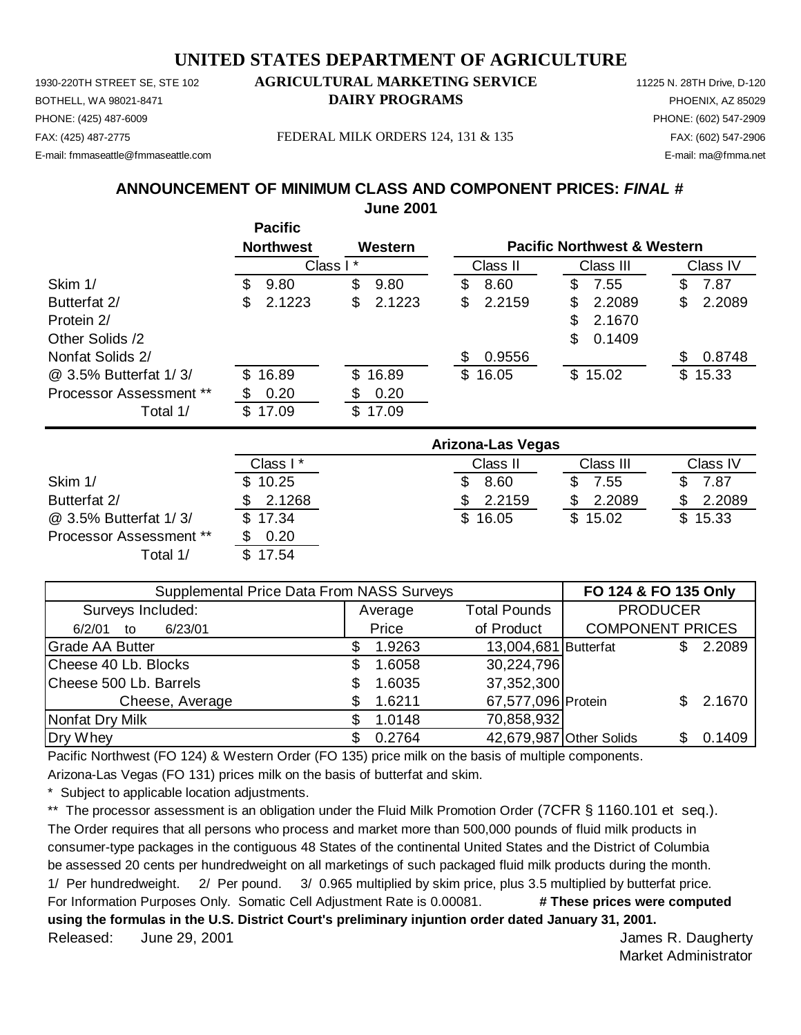1930-220TH STREET SE, STE 102 **AGRICULTURAL MARKETING SERVICE** 11225 N. 28TH Drive, D-120 PHONE: (425) 487-6009 PHONE: (602) 547-2909 E-mail: fmmaseattle@fmmaseattle.com E-mail: ma@fmma.net

# BOTHELL, WA 98021-8471 **DAIRY PROGRAMS** PHOENIX, AZ 85029

FAX: (425) 487-2775 FEDERAL MILK ORDERS 124, 131 & 135 FAX: (602) 547-2906

#### **ANNOUNCEMENT OF MINIMUM CLASS AND COMPONENT PRICES:** *FINAL #* **June 2001**

**Pacific Northwest Western** Class II Class III Class IV Skim 1/ \$ 9.80 \$ 9.80 \$ 8.60 \$ 7.55 \$ 7.87 Butterfat 2/ \$ 2.1223 \$ 2.1223 \$ 2.2159 \$ 2.2089 \$ 2.2089 Protein 2/ \$2.1670 Other Solids /2  $\qquad \qquad$  0.1409 Nonfat Solids 2/  $$ 0.9556$   $$ 0.8748$ @ 3.5% Butterfat 1/ 3/ \$ 16.89 \$ 16.89 \$ 16.05 \$ 15.02 \$ 15.33 Processor Assessment \*\* \$ 0.20 \$ 0.20 Total 1/ \$ 17.09 \$ 17.09 Class I \* Class II Class III Class III Class IV Skim 1/ \$ 10.25 \$ 8.60 \$ 7.55 \$ 7.87 Butterfat 2/ \$ 2.1268 \$ 2.2159 \$ 2.2089 \$ 2.2089 **Arizona-Las Vegas Pacific Northwest & Western** Class I \*

| Supplemental Price Data From NASS Surveys | FO 124 & FO 135 Only |                      |                         |              |
|-------------------------------------------|----------------------|----------------------|-------------------------|--------------|
| Surveys Included:                         | Average              | <b>Total Pounds</b>  | <b>PRODUCER</b>         |              |
| 6/23/01<br>6/2/01<br>to                   | Price                | of Product           | <b>COMPONENT PRICES</b> |              |
| <b>Grade AA Butter</b>                    | 1.9263               | 13,004,681 Butterfat |                         | 2.2089<br>S. |
| Cheese 40 Lb. Blocks                      | 1.6058<br>\$         | 30,224,796           |                         |              |
| Cheese 500 Lb. Barrels                    | 1.6035<br>S          | 37,352,300           |                         |              |
| Cheese, Average                           | 1.6211               | 67,577,096 Protein   |                         | 2.1670       |
| Nonfat Dry Milk                           | 1.0148               | 70,858,932           |                         |              |
| Dry Whey                                  | 0.2764               |                      | 42,679,987 Other Solids | 0.1409<br>S  |

@ 3.5% Butterfat 1/ 3/ \$ 17.34 \$ 16.05 \$ 15.02 \$ 15.33

Pacific Northwest (FO 124) & Western Order (FO 135) price milk on the basis of multiple components.

Arizona-Las Vegas (FO 131) prices milk on the basis of butterfat and skim.

Subject to applicable location adjustments.

Processor Assessment \*\* \$ 0.20

Total 1/ \$ 17.54

\*\* The processor assessment is an obligation under the Fluid Milk Promotion Order (7CFR § 1160.101 et seq.). The Order requires that all persons who process and market more than 500,000 pounds of fluid milk products in consumer-type packages in the contiguous 48 States of the continental United States and the District of Columbia be assessed 20 cents per hundredweight on all marketings of such packaged fluid milk products during the month. 1/ Per hundredweight. 2/ Per pound. 3/ 0.965 multiplied by skim price, plus 3.5 multiplied by butterfat price. For Information Purposes Only. Somatic Cell Adjustment Rate is 0.00081. **# These prices were computed using the formulas in the U.S. District Court's preliminary injuntion order dated January 31, 2001.** Released: James R. Daugherty June 29, 2001

Market Administrator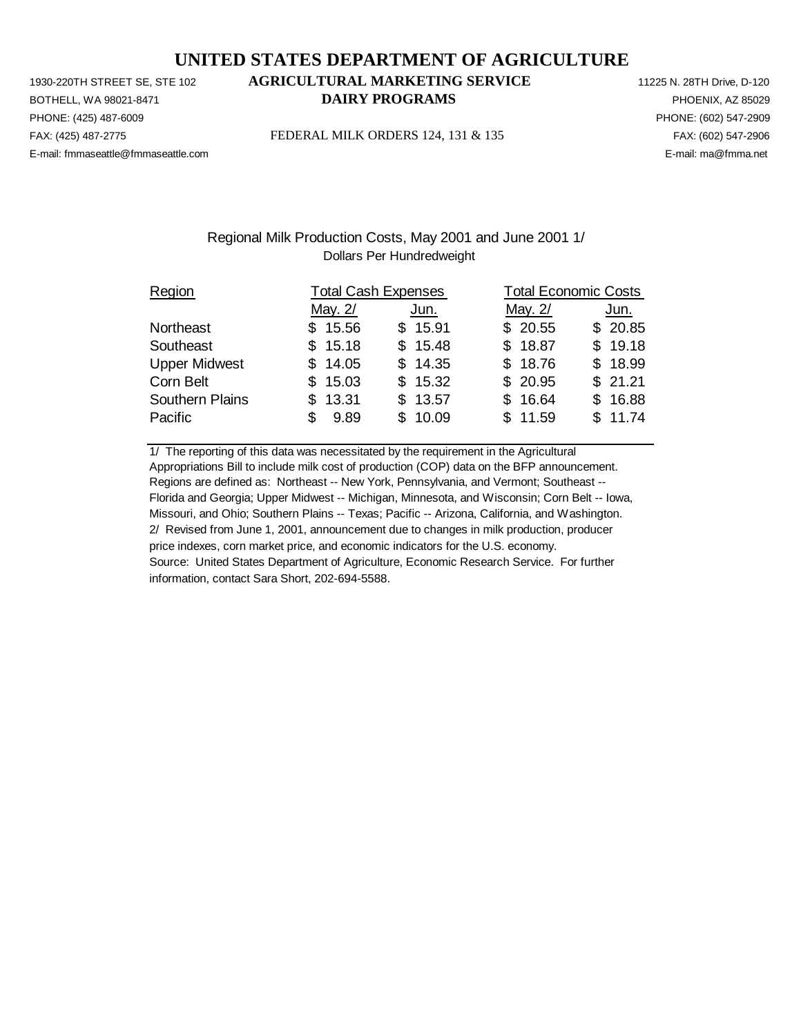PHONE: (425) 487-6009 PHONE: (602) 547-2909 E-mail: fmmaseattle@fmmaseattle.com E-mail: ma@fmma.net

# 1930-220TH STREET SE, STE 102 **AGRICULTURAL MARKETING SERVICE** 11225 N. 28TH Drive, D-120 BOTHELL, WA 98021-8471 **DAIRY PROGRAMS** PHOENIX, AZ 85029

FAX: (425) 487-2775 FEDERAL MILK ORDERS 124, 131 & 135 FAX: (602) 547-2906

### Regional Milk Production Costs, May 2001 and June 2001 1/ Dollars Per Hundredweight

| Region                 | <b>Total Cash Expenses</b> |         | <b>Total Economic Costs</b> |         |  |  |
|------------------------|----------------------------|---------|-----------------------------|---------|--|--|
|                        | May. 2/                    | Jun.    | May. 2/                     | Jun.    |  |  |
| Northeast              | \$15.56                    | \$15.91 | \$20.55                     | \$20.85 |  |  |
| Southeast              | \$15.18                    | \$15.48 | \$18.87                     | \$19.18 |  |  |
| <b>Upper Midwest</b>   | \$14.05                    | \$14.35 | \$18.76                     | \$18.99 |  |  |
| Corn Belt              | \$15.03                    | \$15.32 | \$20.95                     | \$21.21 |  |  |
| <b>Southern Plains</b> | \$13.31                    | \$13.57 | \$16.64                     | \$16.88 |  |  |
| Pacific                | 9.89<br>S                  | \$10.09 | \$11.59                     | \$11.74 |  |  |

1/ The reporting of this data was necessitated by the requirement in the Agricultural Appropriations Bill to include milk cost of production (COP) data on the BFP announcement. Regions are defined as: Northeast -- New York, Pennsylvania, and Vermont; Southeast -- Florida and Georgia; Upper Midwest -- Michigan, Minnesota, and Wisconsin; Corn Belt -- Iowa, Missouri, and Ohio; Southern Plains -- Texas; Pacific -- Arizona, California, and Washington. 2/ Revised from June 1, 2001, announcement due to changes in milk production, producer price indexes, corn market price, and economic indicators for the U.S. economy. Source: United States Department of Agriculture, Economic Research Service. For further information, contact Sara Short, 202-694-5588.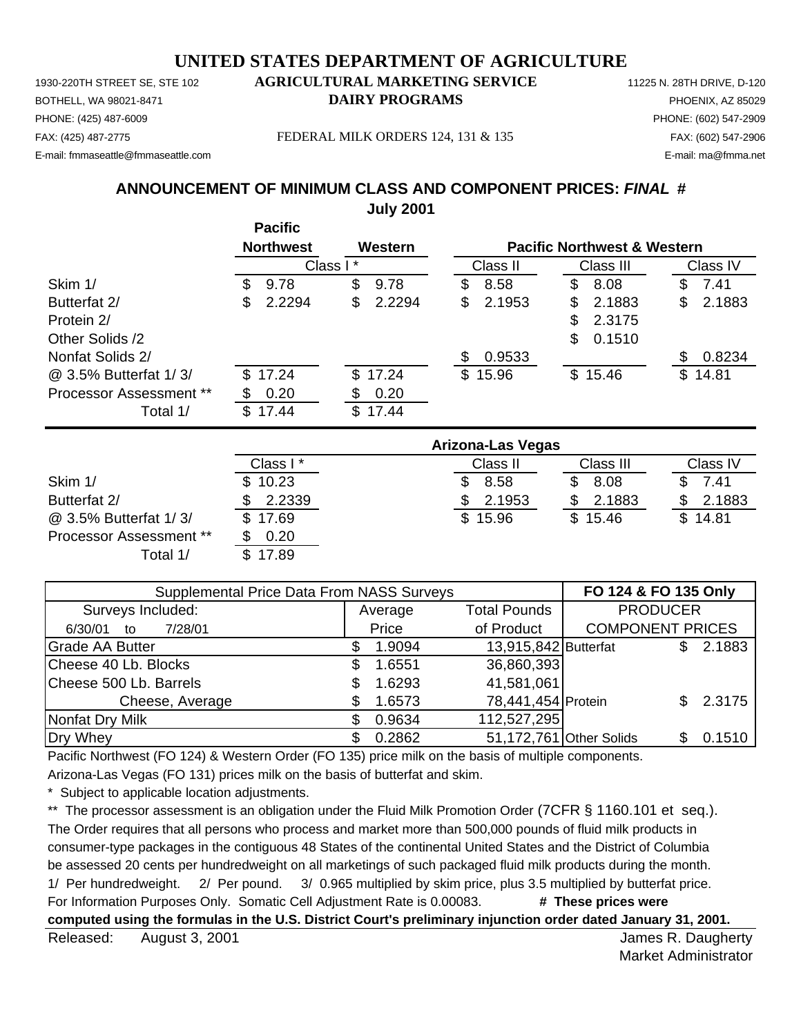1930-220TH STREET SE, STE 102 **AGRICULTURAL MARKETING SERVICE** 11225 N. 28TH DRIVE, D-120 PHONE: (425) 487-6009 PHONE: (602) 547-2909 E-mail: fmmaseattle@fmmaseattle.com E-mail: ma@fmma.net

# BOTHELL, WA 98021-8471 **DAIRY PROGRAMS** PHOENIX, AZ 85029

FAX: (425) 487-2775 FEDERAL MILK ORDERS 124, 131 & 135 FAX: (602) 547-2906

**ANNOUNCEMENT OF MINIMUM CLASS AND COMPONENT PRICES:** *FINAL* **#**

**July 2001**

|                         |     | <b>Pacific</b>   |          |         |     |          |    |                                        |    |          |
|-------------------------|-----|------------------|----------|---------|-----|----------|----|----------------------------------------|----|----------|
|                         |     | <b>Northwest</b> |          | Western |     |          |    | <b>Pacific Northwest &amp; Western</b> |    |          |
|                         |     |                  | Class I* |         |     | Class II |    | Class III                              |    | Class IV |
| Skim 1/                 | \$  | 9.78             | \$       | 9.78    | \$  | 8.58     | \$ | 8.08                                   | \$ | 7.41     |
| Butterfat 2/            | \$. | 2.2294           | \$       | 2.2294  | \$. | 2.1953   | S  | 2.1883                                 | S  | 2.1883   |
| Protein 2/              |     |                  |          |         |     |          | \$ | 2.3175                                 |    |          |
| Other Solids /2         |     |                  |          |         |     |          | \$ | 0.1510                                 |    |          |
| Nonfat Solids 2/        |     |                  |          |         | S   | 0.9533   |    |                                        |    | 0.8234   |
| @ 3.5% Butterfat 1/3/   |     | \$17.24          |          | \$17.24 |     | \$15.96  |    | \$15.46                                |    | \$14.81  |
| Processor Assessment ** |     | 0.20             | S        | 0.20    |     |          |    |                                        |    |          |
| Total 1/                | \$. | 17.44            | \$       | 17.44   |     |          |    |                                        |    |          |

|                                | Arizona-Las Vegas |          |           |          |  |  |
|--------------------------------|-------------------|----------|-----------|----------|--|--|
|                                | Class I*          | Class II | Class III | Class IV |  |  |
| Skim 1/                        | \$10.23           | 8.58     | 8.08      | 7.41     |  |  |
| Butterfat 2/                   | 2.2339            | 2.1953   | 2.1883    | 2.1883   |  |  |
| @ 3.5% Butterfat 1/3/          | \$17.69           | \$15.96  | \$15.46   | \$14.81  |  |  |
| <b>Processor Assessment **</b> | 0.20              |          |           |          |  |  |
| Total 1/                       | \$17.89           |          |           |          |  |  |

| <b>Supplemental Price Data From NASS Surveys</b> | FO 124 & FO 135 Only |                                |                      |                         |    |        |
|--------------------------------------------------|----------------------|--------------------------------|----------------------|-------------------------|----|--------|
| Surveys Included:                                |                      | <b>Total Pounds</b><br>Average |                      | <b>PRODUCER</b>         |    |        |
| 7/28/01<br>6/30/01<br>to                         |                      | Price                          | of Product           | <b>COMPONENT PRICES</b> |    |        |
| <b>Grade AA Butter</b>                           |                      | 1.9094                         | 13,915,842 Butterfat |                         | \$ | 2.1883 |
| Cheese 40 Lb. Blocks                             | \$.                  | 1.6551                         | 36,860,393           |                         |    |        |
| Cheese 500 Lb. Barrels                           |                      | 1.6293                         | 41,581,061           |                         |    |        |
| Cheese, Average                                  |                      | 1.6573                         | 78,441,454 Protein   |                         |    | 2.3175 |
| Nonfat Dry Milk                                  |                      | 0.9634                         | 112,527,295          |                         |    |        |
| Dry Whey                                         |                      | 0.2862                         |                      | 51,172,761 Other Solids | S. | 0.1510 |

Pacific Northwest (FO 124) & Western Order (FO 135) price milk on the basis of multiple components.

Arizona-Las Vegas (FO 131) prices milk on the basis of butterfat and skim.

Subject to applicable location adjustments.

\*\* The processor assessment is an obligation under the Fluid Milk Promotion Order (7CFR § 1160.101 et seq.). The Order requires that all persons who process and market more than 500,000 pounds of fluid milk products in consumer-type packages in the contiguous 48 States of the continental United States and the District of Columbia be assessed 20 cents per hundredweight on all marketings of such packaged fluid milk products during the month. 1/ Per hundredweight. 2/ Per pound. 3/ 0.965 multiplied by skim price, plus 3.5 multiplied by butterfat price. For Information Purposes Only. Somatic Cell Adjustment Rate is 0.00083. **# These prices were computed using the formulas in the U.S. District Court's preliminary injunction order dated January 31, 2001.**

Released: August 3, 2001 **August 2001** Network and Seleased: August 2, 2001 August 3, 2001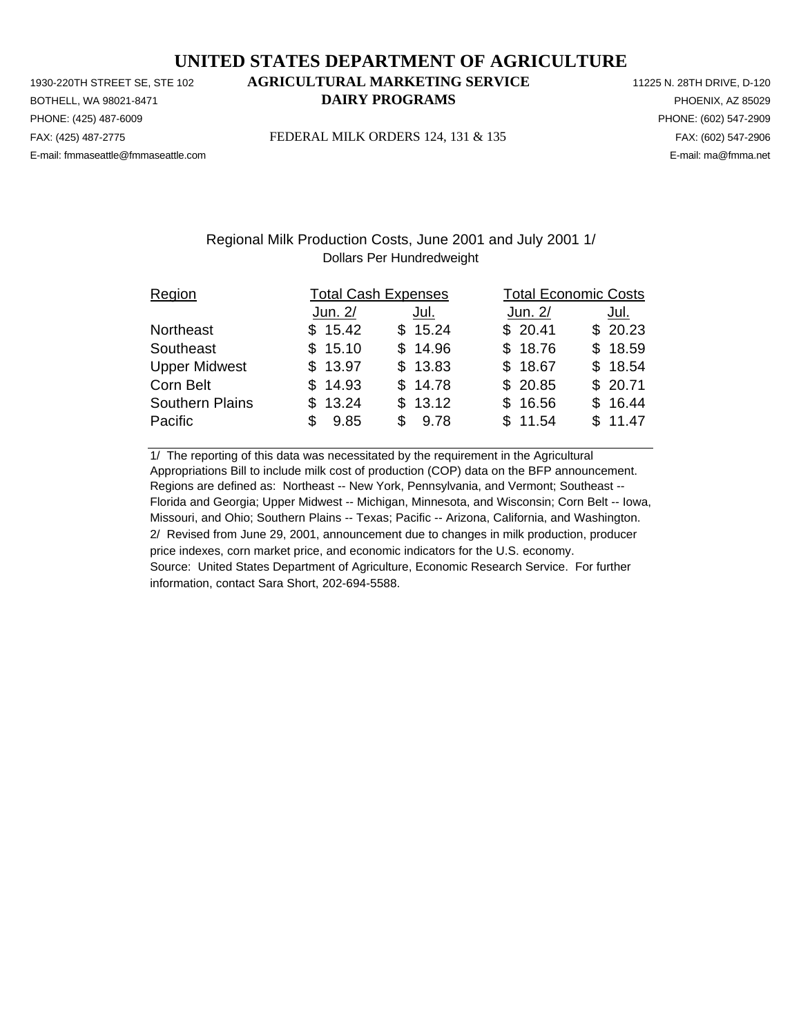PHONE: (425) 487-6009 PHONE: (602) 547-2909 E-mail: fmmaseattle@fmmaseattle.com E-mail: ma@fmma.net

# 1930-220TH STREET SE, STE 102 **AGRICULTURAL MARKETING SERVICE** 11225 N. 28TH DRIVE, D-120 BOTHELL, WA 98021-8471 **DAIRY PROGRAMS** PHOENIX, AZ 85029

FAX: (425) 487-2775 FEDERAL MILK ORDERS 124, 131 & 135 FAX: (602) 547-2906

## Regional Milk Production Costs, June 2001 and July 2001 1/ Dollars Per Hundredweight

| Region                 | <b>Total Cash Expenses</b> |         | <b>Total Economic Costs</b> |         |
|------------------------|----------------------------|---------|-----------------------------|---------|
|                        | Jun. 2/                    | Jul.    | Jun. 2/                     | Jul.    |
| Northeast              | \$15.42                    | \$15.24 | \$20.41                     | \$20.23 |
| Southeast              | \$15.10                    | \$14.96 | \$18.76                     | \$18.59 |
| <b>Upper Midwest</b>   | \$13.97                    | \$13.83 | \$18.67                     | \$18.54 |
| Corn Belt              | \$14.93                    | \$14.78 | \$20.85                     | \$20.71 |
| <b>Southern Plains</b> | \$13.24                    | \$13.12 | \$16.56                     | \$16.44 |
| Pacific                | 9.85<br>\$.                | \$9.78  | \$11.54                     | \$11.47 |

1/ The reporting of this data was necessitated by the requirement in the Agricultural Appropriations Bill to include milk cost of production (COP) data on the BFP announcement. Regions are defined as: Northeast -- New York, Pennsylvania, and Vermont; Southeast -- Florida and Georgia; Upper Midwest -- Michigan, Minnesota, and Wisconsin; Corn Belt -- Iowa, Missouri, and Ohio; Southern Plains -- Texas; Pacific -- Arizona, California, and Washington. 2/ Revised from June 29, 2001, announcement due to changes in milk production, producer price indexes, corn market price, and economic indicators for the U.S. economy. Source: United States Department of Agriculture, Economic Research Service. For further information, contact Sara Short, 202-694-5588.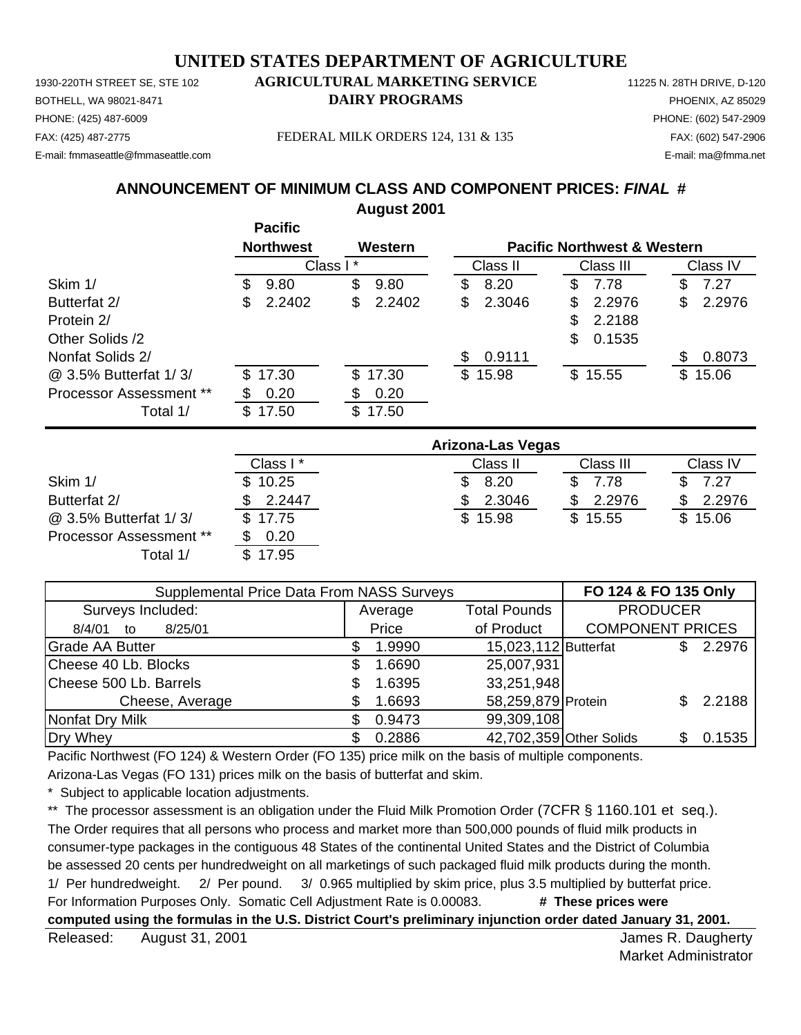PHONE: (425) 487-6009 PHONE: (602) 547-2909 E-mail: fmmaseattle@fmmaseattle.com E-mail: ma@fmma.net

# 1930-220TH STREET SE, STE 102 **AGRICULTURAL MARKETING SERVICE** 11225 N. 28TH DRIVE, D-120 BOTHELL, WA 98021-8471 **DAIRY PROGRAMS** PHOENIX, AZ 85029

FAX: (425) 487-2775 FEDERAL MILK ORDERS 124, 131 & 135 FAX: (602) 547-2906

# **ANNOUNCEMENT OF MINIMUM CLASS AND COMPONENT PRICES:** *FINAL* **#**

**August 2001**

|                                |     | <b>Pacific</b>   |          |         |    |          |    |                                        |    |          |
|--------------------------------|-----|------------------|----------|---------|----|----------|----|----------------------------------------|----|----------|
|                                |     | <b>Northwest</b> |          | Western |    |          |    | <b>Pacific Northwest &amp; Western</b> |    |          |
|                                |     |                  | Class I* |         |    | Class II |    | Class III                              |    | Class IV |
| Skim 1/                        | S.  | 9.80             | \$       | 9.80    | \$ | 8.20     | \$ | 7.78                                   | \$ | 7.27     |
| Butterfat 2/                   | \$. | 2.2402           | \$       | 2.2402  | S  | 2.3046   | S  | 2.2976                                 | \$ | 2.2976   |
| Protein 2/                     |     |                  |          |         |    |          | \$ | 2.2188                                 |    |          |
| Other Solids /2                |     |                  |          |         |    |          | \$ | 0.1535                                 |    |          |
| Nonfat Solids 2/               |     |                  |          |         | S  | 0.9111   |    |                                        | S  | 0.8073   |
| @ 3.5% Butterfat 1/3/          |     | \$17.30          |          | \$17.30 |    | \$15.98  |    | \$15.55                                |    | \$15.06  |
| <b>Processor Assessment **</b> |     | 0.20             | \$.      | 0.20    |    |          |    |                                        |    |          |
| Total 1/                       | SS. | 17.50            | S        | 17.50   |    |          |    |                                        |    |          |

|                                | Arizona-Las Vegas |          |           |          |  |  |
|--------------------------------|-------------------|----------|-----------|----------|--|--|
|                                | Class I*          | Class II | Class III | Class IV |  |  |
| Skim 1/                        | \$10.25           | 8.20     | 7.78      | 7.27     |  |  |
| Butterfat 2/                   | 2.2447            | 2.3046   | 2.2976    | 2.2976   |  |  |
| @ 3.5% Butterfat 1/3/          | \$17.75           | \$15.98  | \$15.55   | \$15.06  |  |  |
| <b>Processor Assessment **</b> | 0.20              |          |           |          |  |  |
| Total 1/                       | \$17.95           |          |           |          |  |  |

| Supplemental Price Data From NASS Surveys | FO 124 & FO 135 Only |         |                      |                         |     |        |
|-------------------------------------------|----------------------|---------|----------------------|-------------------------|-----|--------|
| Surveys Included:                         |                      | Average | <b>PRODUCER</b>      |                         |     |        |
| 8/25/01<br>8/4/01<br>to                   |                      | Price   | of Product           | <b>COMPONENT PRICES</b> |     |        |
| <b>Grade AA Butter</b>                    |                      | 1.9990  | 15,023,112 Butterfat |                         | \$. | 2.2976 |
| Cheese 40 Lb. Blocks                      | S                    | 1.6690  | 25,007,931           |                         |     |        |
| Cheese 500 Lb. Barrels                    |                      | 1.6395  | 33,251,948           |                         |     |        |
| Cheese, Average                           |                      | 1.6693  | 58,259,879 Protein   |                         |     | 2.2188 |
| Nonfat Dry Milk                           |                      | 0.9473  | 99,309,108           |                         |     |        |
| Dry Whey                                  |                      | 0.2886  |                      | 42,702,359 Other Solids |     | 0.1535 |

Pacific Northwest (FO 124) & Western Order (FO 135) price milk on the basis of multiple components.

Arizona-Las Vegas (FO 131) prices milk on the basis of butterfat and skim.

Subject to applicable location adjustments.

\*\* The processor assessment is an obligation under the Fluid Milk Promotion Order (7CFR § 1160.101 et seq.). The Order requires that all persons who process and market more than 500,000 pounds of fluid milk products in consumer-type packages in the contiguous 48 States of the continental United States and the District of Columbia be assessed 20 cents per hundredweight on all marketings of such packaged fluid milk products during the month. 1/ Per hundredweight. 2/ Per pound. 3/ 0.965 multiplied by skim price, plus 3.5 multiplied by butterfat price. For Information Purposes Only. Somatic Cell Adjustment Rate is 0.00083. **# These prices were computed using the formulas in the U.S. District Court's preliminary injunction order dated January 31, 2001.**

Released: August 31, 2001 **August 2001 Released: August 2001** August 31, 2001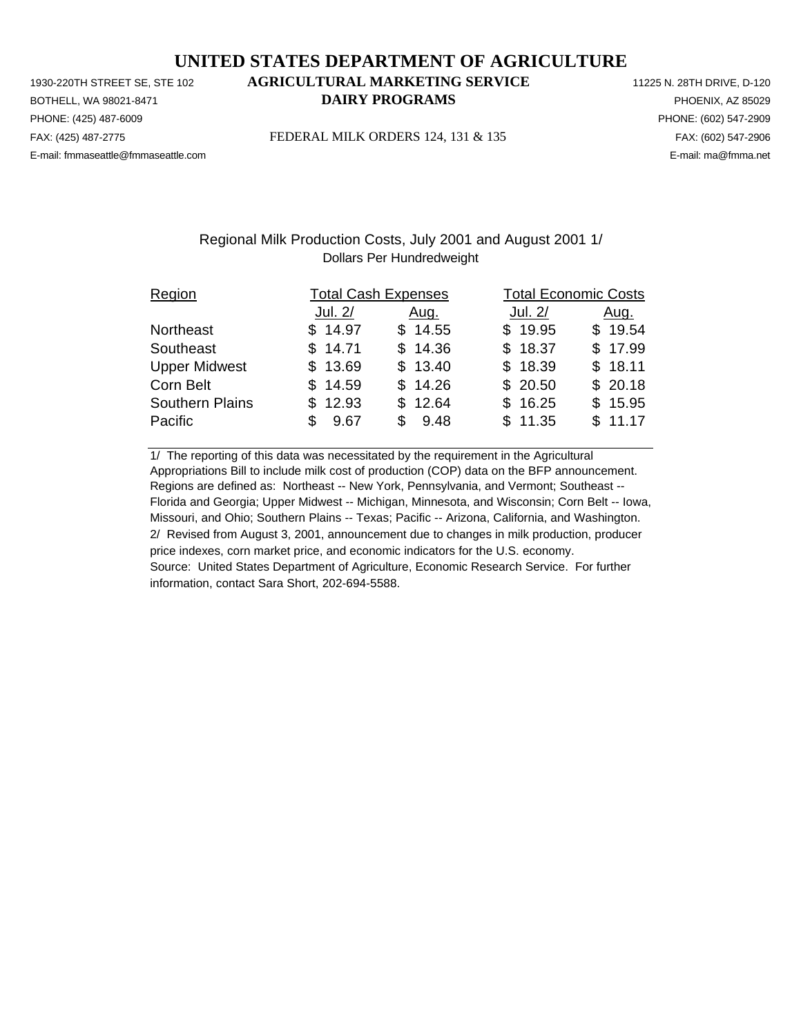PHONE: (425) 487-6009 PHONE: (602) 547-2909 E-mail: fmmaseattle@fmmaseattle.com E-mail: ma@fmma.net

# 1930-220TH STREET SE, STE 102 **AGRICULTURAL MARKETING SERVICE** 11225 N. 28TH DRIVE, D-120 BOTHELL, WA 98021-8471 **DAIRY PROGRAMS** PHOENIX, AZ 85029

FAX: (425) 487-2775 FEDERAL MILK ORDERS 124, 131 & 135 FAX: (602) 547-2906

## Regional Milk Production Costs, July 2001 and August 2001 1/ Dollars Per Hundredweight

| Region                 |             | <b>Total Cash Expenses</b> | <b>Total Economic Costs</b> |         |
|------------------------|-------------|----------------------------|-----------------------------|---------|
|                        | Jul. 2/     | <u>Aug.</u>                | Jul. 2/                     | Aug.    |
| Northeast              | \$14.97     | \$14.55                    | \$19.95                     | \$19.54 |
| Southeast              | \$14.71     | \$14.36                    | \$18.37                     | \$17.99 |
| <b>Upper Midwest</b>   | \$13.69     | \$13.40                    | \$18.39                     | \$18.11 |
| Corn Belt              | \$14.59     | \$14.26                    | \$20.50                     | \$20.18 |
| <b>Southern Plains</b> | \$12.93     | \$12.64                    | \$16.25                     | \$15.95 |
| Pacific                | 9.67<br>\$. | \$9.48                     | \$11.35                     | \$11.17 |

1/ The reporting of this data was necessitated by the requirement in the Agricultural Appropriations Bill to include milk cost of production (COP) data on the BFP announcement. Regions are defined as: Northeast -- New York, Pennsylvania, and Vermont; Southeast -- Florida and Georgia; Upper Midwest -- Michigan, Minnesota, and Wisconsin; Corn Belt -- Iowa, Missouri, and Ohio; Southern Plains -- Texas; Pacific -- Arizona, California, and Washington. 2/ Revised from August 3, 2001, announcement due to changes in milk production, producer price indexes, corn market price, and economic indicators for the U.S. economy. Source: United States Department of Agriculture, Economic Research Service. For further information, contact Sara Short, 202-694-5588.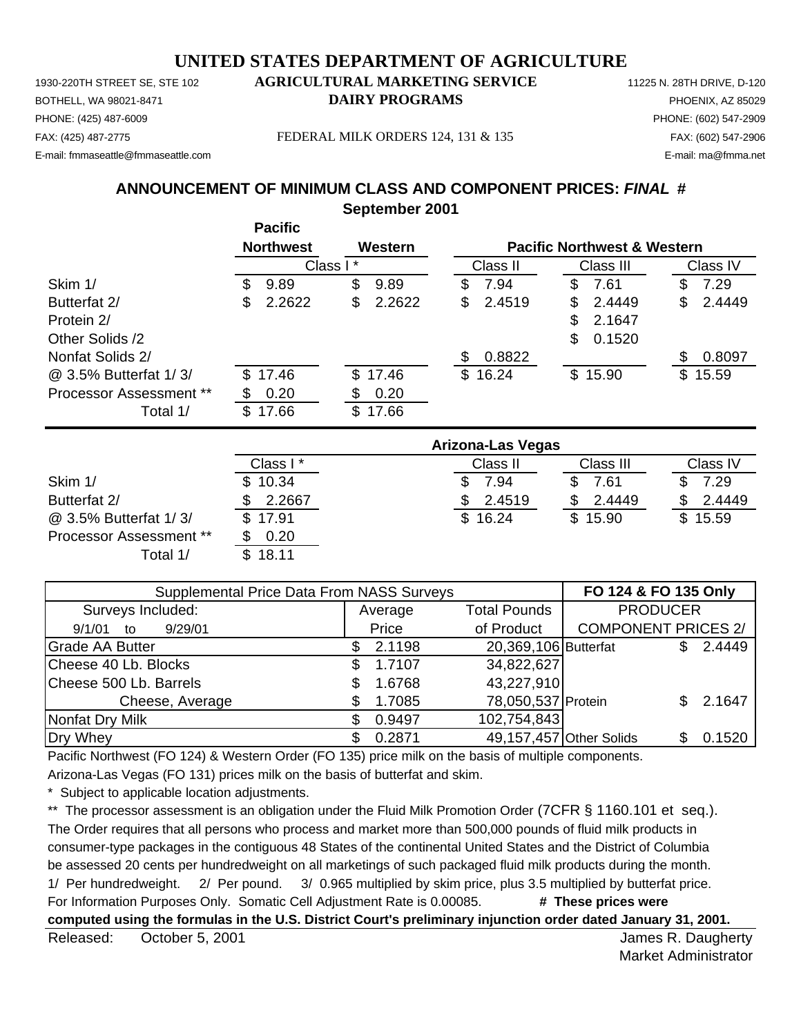1930-220TH STREET SE, STE 102 **AGRICULTURAL MARKETING SERVICE** 11225 N. 28TH DRIVE, D-120 PHONE: (425) 487-6009 PHONE: (602) 547-2909 E-mail: fmmaseattle@fmmaseattle.com E-mail: ma@fmma.net

# BOTHELL, WA 98021-8471 **DAIRY PROGRAMS** PHOENIX, AZ 85029

FAX: (425) 487-2775 FEDERAL MILK ORDERS 124, 131 & 135 FAX: (602) 547-2906

**ANNOUNCEMENT OF MINIMUM CLASS AND COMPONENT PRICES:** *FINAL* **#**

**September 2001**

|                         |     | <b>Pacific</b>   |              |   |          |    |                                        |    |          |
|-------------------------|-----|------------------|--------------|---|----------|----|----------------------------------------|----|----------|
|                         |     | <b>Northwest</b> | Western      |   |          |    | <b>Pacific Northwest &amp; Western</b> |    |          |
|                         |     | Class I*         |              |   | Class II |    | Class III                              |    | Class IV |
| Skim 1/                 | S.  | 9.89             | \$<br>9.89   | S | 7.94     | S  | 7.61                                   | S  | 7.29     |
| Butterfat 2/            | \$  | 2.2622           | \$<br>2.2622 | S | 2.4519   | \$ | 2.4449                                 | \$ | 2.4449   |
| Protein 2/              |     |                  |              |   |          | \$ | 2.1647                                 |    |          |
| Other Solids /2         |     |                  |              |   |          | \$ | 0.1520                                 |    |          |
| Nonfat Solids 2/        |     |                  |              | S | 0.8822   |    |                                        | S  | 0.8097   |
| @ 3.5% Butterfat 1/3/   |     | \$17.46          | \$17.46      |   | \$16.24  |    | \$15.90                                |    | \$15.59  |
| Processor Assessment ** |     | 0.20             | \$<br>0.20   |   |          |    |                                        |    |          |
| Total 1/                | \$. | 17.66            | \$<br>17.66  |   |          |    |                                        |    |          |

|                                | Arizona-Las Vegas |          |           |          |  |  |
|--------------------------------|-------------------|----------|-----------|----------|--|--|
|                                | Class I*          | Class II | Class III | Class IV |  |  |
| Skim 1/                        | \$10.34           | 7.94     | 7.61      | 7.29     |  |  |
| Butterfat 2/                   | 2.2667            | 2.4519   | 2.4449    | 2.4449   |  |  |
| @ 3.5% Butterfat 1/3/          | \$17.91           | \$16.24  | \$15.90   | \$15.59  |  |  |
| <b>Processor Assessment **</b> | 0.20              |          |           |          |  |  |
| Total 1/                       | \$18.11           |          |           |          |  |  |

| Supplemental Price Data From NASS Surveys | FO 124 & FO 135 Only           |        |                         |                            |    |        |
|-------------------------------------------|--------------------------------|--------|-------------------------|----------------------------|----|--------|
| Surveys Included:                         | <b>Total Pounds</b><br>Average |        | <b>PRODUCER</b>         |                            |    |        |
| 9/29/01<br>9/1/01<br>to                   |                                | Price  | of Product              | <b>COMPONENT PRICES 2/</b> |    |        |
| <b>Grade AA Butter</b>                    | S.                             | 2.1198 | 20,369,106 Butterfat    |                            |    | 2.4449 |
| Cheese 40 Lb. Blocks                      | S                              | 1.7107 | 34,822,627              |                            |    |        |
| Cheese 500 Lb. Barrels                    |                                | 1.6768 | 43,227,910              |                            |    |        |
| Cheese, Average                           |                                | 1.7085 | 78,050,537 Protein      |                            |    | 2.1647 |
| Nonfat Dry Milk                           |                                | 0.9497 | 102,754,843             |                            |    |        |
| Dry Whey                                  |                                | 0.2871 | 49,157,457 Other Solids |                            | SS | 0.1520 |

Pacific Northwest (FO 124) & Western Order (FO 135) price milk on the basis of multiple components.

Arizona-Las Vegas (FO 131) prices milk on the basis of butterfat and skim.

Subject to applicable location adjustments.

\*\* The processor assessment is an obligation under the Fluid Milk Promotion Order (7CFR § 1160.101 et seq.). The Order requires that all persons who process and market more than 500,000 pounds of fluid milk products in consumer-type packages in the contiguous 48 States of the continental United States and the District of Columbia be assessed 20 cents per hundredweight on all marketings of such packaged fluid milk products during the month. 1/ Per hundredweight. 2/ Per pound. 3/ 0.965 multiplied by skim price, plus 3.5 multiplied by butterfat price. For Information Purposes Only. Somatic Cell Adjustment Rate is 0.00085. **# These prices were computed using the formulas in the U.S. District Court's preliminary injunction order dated January 31, 2001.**

Released: October 5, 2001 and the state of the state of the state of the state of the state of the state of the state of the state of the state of the state of the state of the state of the state of the state of the state October 5, 2001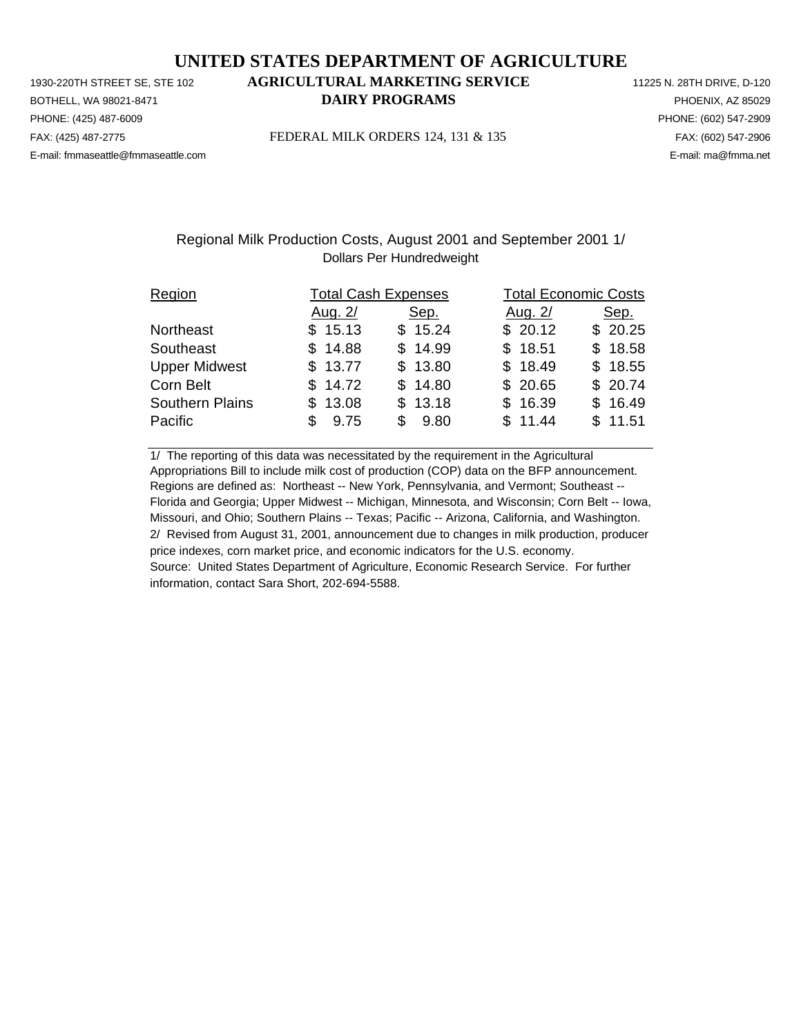PHONE: (425) 487-6009 PHONE: (602) 547-2909 E-mail: fmmaseattle@fmmaseattle.com E-mail: ma@fmma.net

# 1930-220TH STREET SE, STE 102 **AGRICULTURAL MARKETING SERVICE** 11225 N. 28TH DRIVE, D-120 BOTHELL, WA 98021-8471 **DAIRY PROGRAMS** PHOENIX, AZ 85029

FAX: (425) 487-2775 FEDERAL MILK ORDERS 124, 131 & 135 FAX: (602) 547-2906

## Regional Milk Production Costs, August 2001 and September 2001 1/ Dollars Per Hundredweight

| Region                 | <b>Total Cash Expenses</b> |         | <b>Total Economic Costs</b> |         |  |  |
|------------------------|----------------------------|---------|-----------------------------|---------|--|--|
|                        | Aug. 2/                    | Sep.    | Aug. 2/                     | Sep.    |  |  |
| Northeast              | \$15.13                    | \$15.24 | \$20.12                     | \$20.25 |  |  |
| Southeast              | \$14.88                    | \$14.99 | \$18.51                     | \$18.58 |  |  |
| <b>Upper Midwest</b>   | \$13.77                    | \$13.80 | \$18.49                     | \$18.55 |  |  |
| Corn Belt              | \$14.72                    | \$14.80 | \$20.65                     | \$20.74 |  |  |
| <b>Southern Plains</b> | \$13.08                    | \$13.18 | \$16.39                     | \$16.49 |  |  |
| Pacific                | 9.75                       | \$9.80  | \$11.44                     | \$11.51 |  |  |

1/ The reporting of this data was necessitated by the requirement in the Agricultural Appropriations Bill to include milk cost of production (COP) data on the BFP announcement. Regions are defined as: Northeast -- New York, Pennsylvania, and Vermont; Southeast -- Florida and Georgia; Upper Midwest -- Michigan, Minnesota, and Wisconsin; Corn Belt -- Iowa, Missouri, and Ohio; Southern Plains -- Texas; Pacific -- Arizona, California, and Washington. 2/ Revised from August 31, 2001, announcement due to changes in milk production, producer price indexes, corn market price, and economic indicators for the U.S. economy. Source: United States Department of Agriculture, Economic Research Service. For further information, contact Sara Short, 202-694-5588.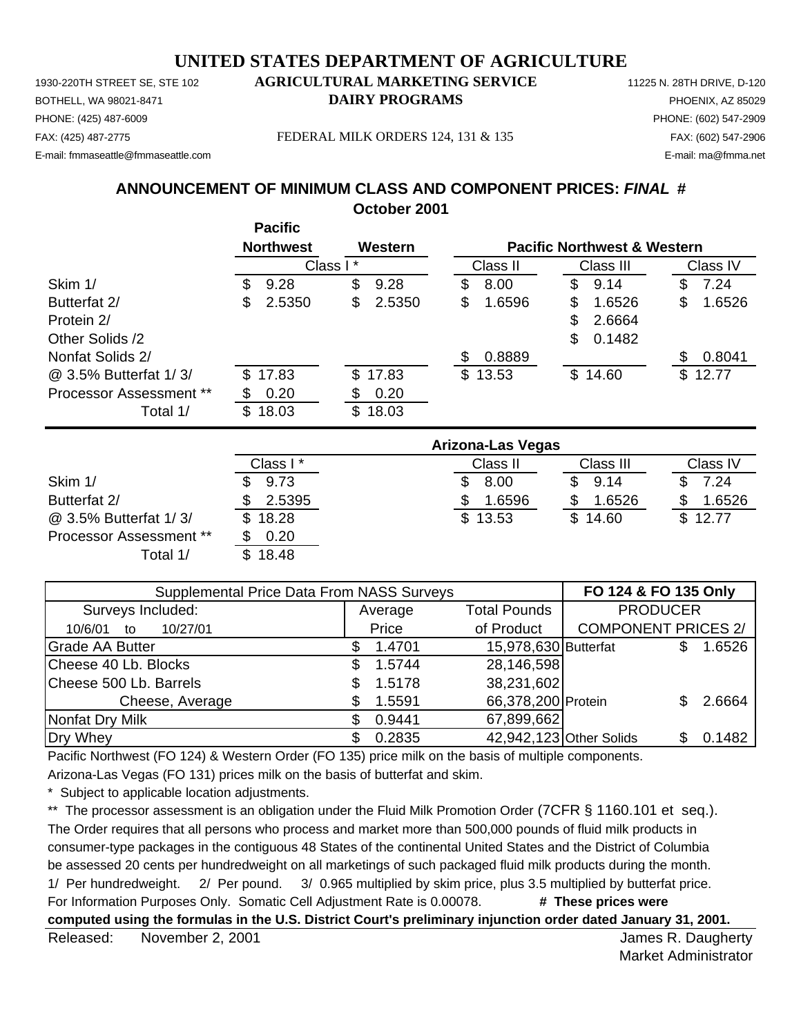1930-220TH STREET SE, STE 102 **AGRICULTURAL MARKETING SERVICE** 11225 N. 28TH DRIVE, D-120 PHONE: (425) 487-6009 PHONE: (602) 547-2909 E-mail: fmmaseattle@fmmaseattle.com E-mail: ma@fmma.net

# BOTHELL, WA 98021-8471 **DAIRY PROGRAMS** PHOENIX, AZ 85029

FAX: (425) 487-2775 FEDERAL MILK ORDERS 124, 131 & 135 FAX: (602) 547-2906

# **ANNOUNCEMENT OF MINIMUM CLASS AND COMPONENT PRICES:** *FINAL* **#**

**October 2001**

|                         |    | <b>Pacific</b>   |          |         |    |          |                                        |     |          |
|-------------------------|----|------------------|----------|---------|----|----------|----------------------------------------|-----|----------|
|                         |    | <b>Northwest</b> |          | Western |    |          | <b>Pacific Northwest &amp; Western</b> |     |          |
|                         |    |                  | Class I* |         |    | Class II | Class III                              |     | Class IV |
| Skim 1/                 | S. | 9.28             | \$       | 9.28    | \$ | 8.00     | \$<br>9.14                             | \$  | 7.24     |
| Butterfat 2/            | S  | 2.5350           | \$       | 2.5350  | \$ | 1.6596   | \$<br>1.6526                           | \$  | 1.6526   |
| Protein 2/              |    |                  |          |         |    |          | \$<br>2.6664                           |     |          |
| Other Solids /2         |    |                  |          |         |    |          | \$<br>0.1482                           |     |          |
| Nonfat Solids 2/        |    |                  |          |         | S  | 0.8889   |                                        | \$. | 0.8041   |
| @ 3.5% Butterfat 1/3/   | S. | 17.83            |          | \$17.83 |    | \$13.53  | \$14.60                                |     | \$12.77  |
| Processor Assessment ** |    | 0.20             | \$       | 0.20    |    |          |                                        |     |          |
| Total 1/                | \$ | 18.03            | S        | 18.03   |    |          |                                        |     |          |

|                         |          | <b>Arizona-Las Vegas</b> |             |          |
|-------------------------|----------|--------------------------|-------------|----------|
|                         | Class I* | Class II                 | Class III   | Class IV |
| Skim 1/                 | 9.73     | 8.00                     | 9.14<br>\$. | 7.24     |
| Butterfat 2/            | 2.5395   | 1.6596                   | 1.6526      | 1.6526   |
| @ 3.5% Butterfat 1/3/   | \$18.28  | \$13.53                  | \$14.60     | \$12.77  |
| Processor Assessment ** | 0.20     |                          |             |          |
| Total 1/                | \$18.48  |                          |             |          |

| Supplemental Price Data From NASS Surveys | FO 124 & FO 135 Only |         |                                        |                            |    |        |
|-------------------------------------------|----------------------|---------|----------------------------------------|----------------------------|----|--------|
| Surveys Included:                         |                      | Average | <b>PRODUCER</b><br><b>Total Pounds</b> |                            |    |        |
| 10/27/01<br>10/6/01<br>to                 |                      | Price   | of Product                             | <b>COMPONENT PRICES 2/</b> |    |        |
| <b>Grade AA Butter</b>                    |                      | 1.4701  | 15,978,630 Butterfat                   |                            |    | 1.6526 |
| Cheese 40 Lb. Blocks                      | S                    | 1.5744  | 28,146,598                             |                            |    |        |
| Cheese 500 Lb. Barrels                    |                      | 1.5178  | 38,231,602                             |                            |    |        |
| Cheese, Average                           |                      | 1.5591  | 66,378,200 Protein                     |                            |    | 2.6664 |
| Nonfat Dry Milk                           |                      | 0.9441  | 67,899,662                             |                            |    |        |
| Dry Whey                                  |                      | 0.2835  | 42,942,123 Other Solids                |                            | S. | 0.1482 |

Pacific Northwest (FO 124) & Western Order (FO 135) price milk on the basis of multiple components.

Arizona-Las Vegas (FO 131) prices milk on the basis of butterfat and skim.

Subject to applicable location adjustments.

\*\* The processor assessment is an obligation under the Fluid Milk Promotion Order (7CFR § 1160.101 et seq.). The Order requires that all persons who process and market more than 500,000 pounds of fluid milk products in consumer-type packages in the contiguous 48 States of the continental United States and the District of Columbia be assessed 20 cents per hundredweight on all marketings of such packaged fluid milk products during the month. 1/ Per hundredweight. 2/ Per pound. 3/ 0.965 multiplied by skim price, plus 3.5 multiplied by butterfat price. For Information Purposes Only. Somatic Cell Adjustment Rate is 0.00078. **# These prices were computed using the formulas in the U.S. District Court's preliminary injunction order dated January 31, 2001.**

Released: November 2, 2001 **Contract Contract Contract Contract Contract Contract Contract Contract Contract Contract Contract Contract Contract Contract Contract Contract Contract Contract Contract Contract Contract Contr** November 2, 2001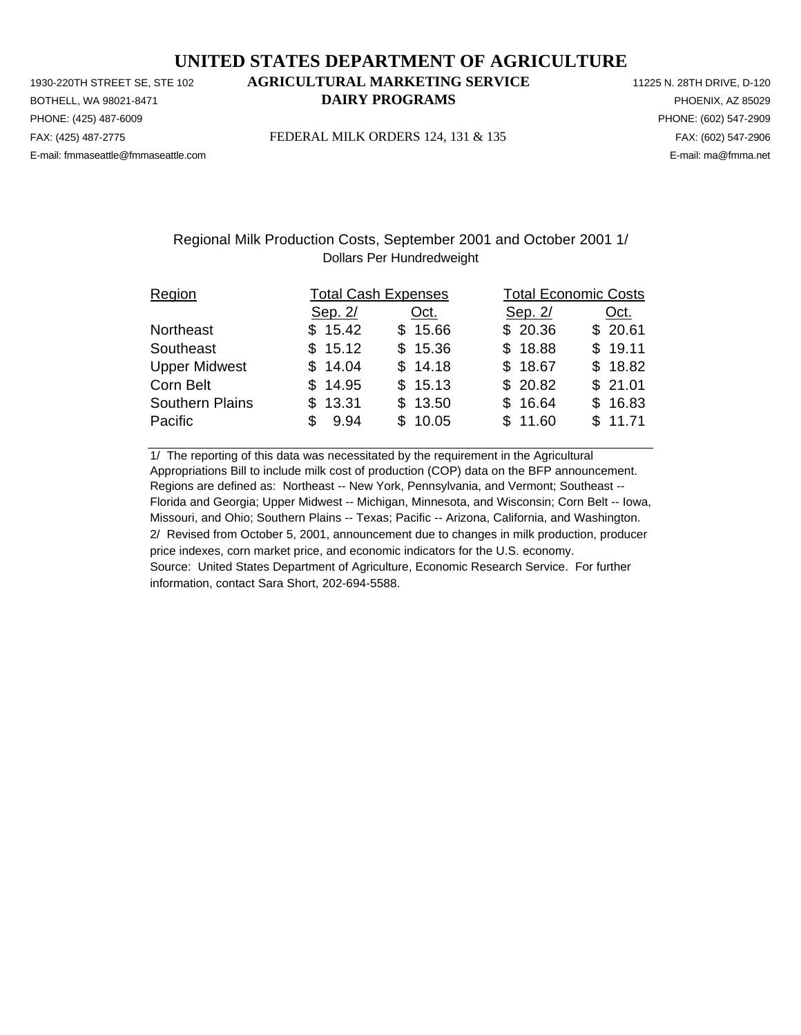PHONE: (425) 487-6009 PHONE: (602) 547-2909 E-mail: fmmaseattle@fmmaseattle.com E-mail: ma@fmma.net

# 1930-220TH STREET SE, STE 102 **AGRICULTURAL MARKETING SERVICE** 11225 N. 28TH DRIVE, D-120 BOTHELL, WA 98021-8471 **DAIRY PROGRAMS** PHOENIX, AZ 85029

FAX: (425) 487-2775 FEDERAL MILK ORDERS 124, 131 & 135 FAX: (602) 547-2906

## Regional Milk Production Costs, September 2001 and October 2001 1/ Dollars Per Hundredweight

| Region                 |             | <b>Total Cash Expenses</b> | <b>Total Economic Costs</b> |         |
|------------------------|-------------|----------------------------|-----------------------------|---------|
|                        | Sep. 2/     | Oct.                       | Sep. 2/                     | Oct.    |
| Northeast              | \$15.42     | \$15.66                    | \$20.36                     | \$20.61 |
| Southeast              | \$15.12     | \$15.36                    | \$18.88                     | \$19.11 |
| <b>Upper Midwest</b>   | \$14.04     | \$14.18                    | \$18.67                     | \$18.82 |
| Corn Belt              | \$14.95     | \$15.13                    | \$20.82                     | \$21.01 |
| <b>Southern Plains</b> | \$13.31     | \$13.50                    | \$16.64                     | \$16.83 |
| Pacific                | 9.94<br>\$. | \$10.05                    | \$11.60                     | \$11.71 |

1/ The reporting of this data was necessitated by the requirement in the Agricultural Appropriations Bill to include milk cost of production (COP) data on the BFP announcement. Regions are defined as: Northeast -- New York, Pennsylvania, and Vermont; Southeast -- Florida and Georgia; Upper Midwest -- Michigan, Minnesota, and Wisconsin; Corn Belt -- Iowa, Missouri, and Ohio; Southern Plains -- Texas; Pacific -- Arizona, California, and Washington. 2/ Revised from October 5, 2001, announcement due to changes in milk production, producer price indexes, corn market price, and economic indicators for the U.S. economy. Source: United States Department of Agriculture, Economic Research Service. For further information, contact Sara Short, 202-694-5588.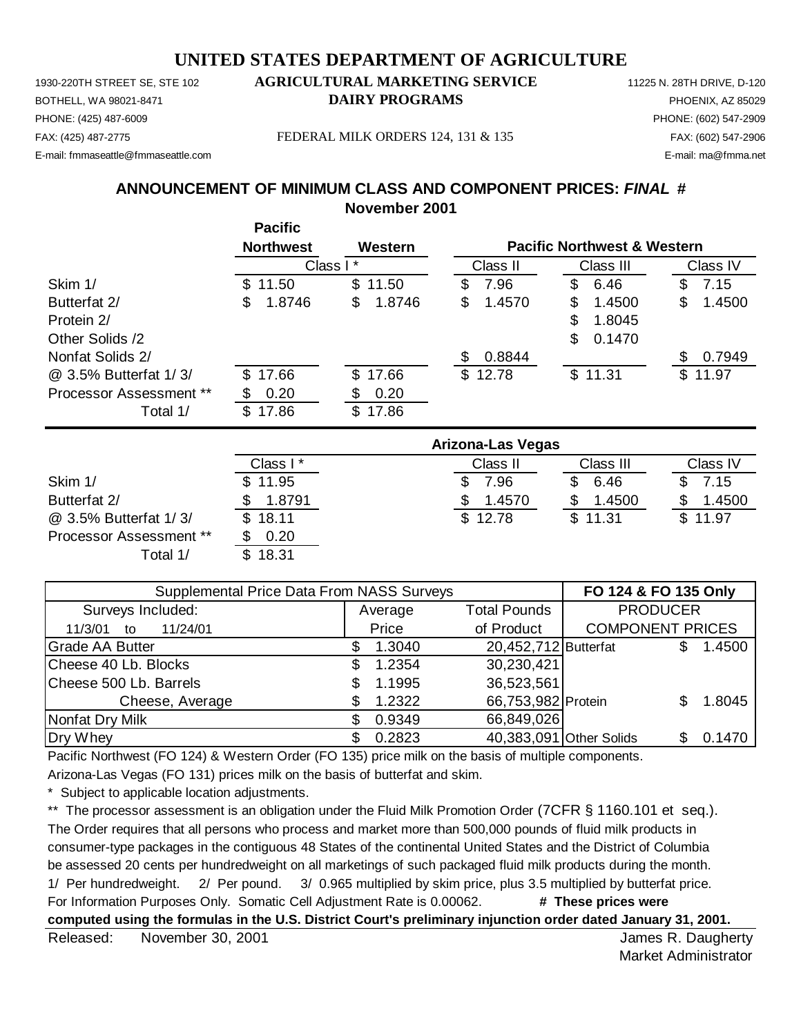1930-220TH STREET SE, STE 102 **AGRICULTURAL MARKETING SERVICE** 11225 N. 28TH DRIVE, D-120 BOTHELL, WA 98021-8471 **DAIRY PROGRAMS** PHOENIX, AZ 85029 E-mail: fmmaseattle@fmmaseattle.com E-mail: ma@fmma.net

# PHONE: (425) 487-6009 PHONE: (602) 547-2909

FAX: (425) 487-2775 FEDERAL MILK ORDERS 124, 131 & 135 FAX: (602) 547-2906

**ANNOUNCEMENT OF MINIMUM CLASS AND COMPONENT PRICES:** *FINAL* **#**

**November 2001**

|                         | <b>Pacific</b>   |              |              |                                        |               |
|-------------------------|------------------|--------------|--------------|----------------------------------------|---------------|
|                         | <b>Northwest</b> | Western      |              | <b>Pacific Northwest &amp; Western</b> |               |
|                         | Class I*         |              | Class II     | Class III                              | Class IV      |
| Skim 1/                 | 11.50<br>SS.     | \$<br>11.50  | 7.96<br>\$   | 6.46<br>\$                             | 7.15<br>S     |
| Butterfat 2/            | 1.8746<br>S      | \$<br>1.8746 | \$<br>1.4570 | \$<br>1.4500                           | 1.4500<br>\$  |
| Protein 2/              |                  |              |              | \$<br>1.8045                           |               |
| Other Solids /2         |                  |              |              | \$<br>0.1470                           |               |
| Nonfat Solids 2/        |                  |              | 0.8844<br>S  |                                        | 0.7949<br>\$. |
| @ 3.5% Butterfat 1/3/   | 17.66<br>S.      | \$17.66      | \$12.78      | \$11.31                                | \$11.97       |
| Processor Assessment ** | 0.20             | \$<br>0.20   |              |                                        |               |
| Total 1/                | 17.86<br>SS.     | 17.86<br>\$  |              |                                        |               |

|                                | Arizona-Las Vegas |          |           |          |  |  |
|--------------------------------|-------------------|----------|-----------|----------|--|--|
|                                | Class I*          | Class II | Class III | Class IV |  |  |
| Skim 1/                        | \$11.95           | .96      | 6.46      | 7.15     |  |  |
| Butterfat 2/                   | 1.8791            | 1.4570   | 1.4500    | 1.4500   |  |  |
| @ 3.5% Butterfat 1/3/          | \$18.11           | \$12.78  | \$11.31   | \$11.97  |  |  |
| <b>Processor Assessment **</b> | 0.20              |          |           |          |  |  |
| Total 1/                       | \$18.31           |          |           |          |  |  |

| Supplemental Price Data From NASS Surveys | FO 124 & FO 135 Only |         |                         |                         |    |        |
|-------------------------------------------|----------------------|---------|-------------------------|-------------------------|----|--------|
| Surveys Included:                         |                      | Average | <b>Total Pounds</b>     | <b>PRODUCER</b>         |    |        |
| 11/24/01<br>11/3/01<br>to                 |                      | Price   | of Product              | <b>COMPONENT PRICES</b> |    |        |
| <b>Grade AA Butter</b>                    |                      | 1.3040  | 20,452,712 Butterfat    |                         |    | 1.4500 |
| Cheese 40 Lb. Blocks                      | S                    | 1.2354  | 30,230,421              |                         |    |        |
| Cheese 500 Lb. Barrels                    |                      | 1.1995  | 36,523,561              |                         |    |        |
| Cheese, Average                           |                      | 1.2322  | 66,753,982 Protein      |                         |    | 1.8045 |
| Nonfat Dry Milk                           |                      | 0.9349  | 66,849,026              |                         |    |        |
| Dry Whey                                  |                      | 0.2823  | 40,383,091 Other Solids |                         | SS | 0.1470 |

Pacific Northwest (FO 124) & Western Order (FO 135) price milk on the basis of multiple components.

Arizona-Las Vegas (FO 131) prices milk on the basis of butterfat and skim.

Subject to applicable location adjustments.

\*\* The processor assessment is an obligation under the Fluid Milk Promotion Order (7CFR § 1160.101 et seq.). The Order requires that all persons who process and market more than 500,000 pounds of fluid milk products in consumer-type packages in the contiguous 48 States of the continental United States and the District of Columbia be assessed 20 cents per hundredweight on all marketings of such packaged fluid milk products during the month. 1/ Per hundredweight. 2/ Per pound. 3/ 0.965 multiplied by skim price, plus 3.5 multiplied by butterfat price. For Information Purposes Only. Somatic Cell Adjustment Rate is 0.00062. **# These prices were computed using the formulas in the U.S. District Court's preliminary injunction order dated January 31, 2001.**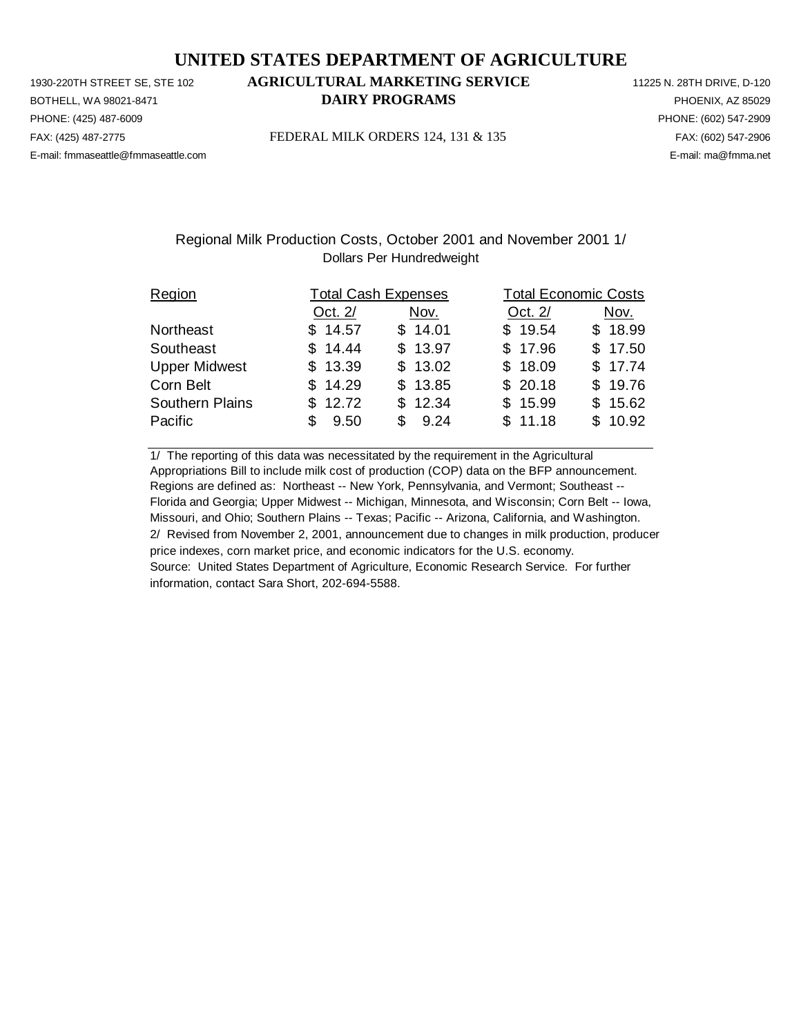PHONE: (425) 487-6009 PHONE: (602) 547-2909 E-mail: fmmaseattle@fmmaseattle.com E-mail: ma@fmma.net

# 1930-220TH STREET SE, STE 102 **AGRICULTURAL MARKETING SERVICE** 11225 N. 28TH DRIVE, D-120 BOTHELL, WA 98021-8471 **DAIRY PROGRAMS** PHOENIX, AZ 85029

FAX: (425) 487-2775 FEDERAL MILK ORDERS 124, 131 & 135 FAX: (602) 547-2906

### Regional Milk Production Costs, October 2001 and November 2001 1/ Dollars Per Hundredweight

| Region               |             | <b>Total Cash Expenses</b> | <b>Total Economic Costs</b> |         |  |  |
|----------------------|-------------|----------------------------|-----------------------------|---------|--|--|
|                      | Oct. 2/     | Nov.                       | Oct. 2/                     | Nov.    |  |  |
| Northeast            | \$14.57     | \$14.01                    | \$19.54                     | \$18.99 |  |  |
| Southeast            | \$14.44     | \$13.97                    | \$17.96                     | \$17.50 |  |  |
| <b>Upper Midwest</b> | \$13.39     | \$13.02                    | \$18.09                     | \$17.74 |  |  |
| Corn Belt            | \$14.29     | \$13.85                    | \$20.18                     | \$19.76 |  |  |
| Southern Plains      | \$12.72     | \$12.34                    | \$15.99                     | \$15.62 |  |  |
| Pacific              | 9.50<br>\$. | \$9.24                     | \$11.18                     | \$10.92 |  |  |

1/ The reporting of this data was necessitated by the requirement in the Agricultural Appropriations Bill to include milk cost of production (COP) data on the BFP announcement. Regions are defined as: Northeast -- New York, Pennsylvania, and Vermont; Southeast -- Florida and Georgia; Upper Midwest -- Michigan, Minnesota, and Wisconsin; Corn Belt -- Iowa, Missouri, and Ohio; Southern Plains -- Texas; Pacific -- Arizona, California, and Washington. 2/ Revised from November 2, 2001, announcement due to changes in milk production, producer price indexes, corn market price, and economic indicators for the U.S. economy. Source: United States Department of Agriculture, Economic Research Service. For further information, contact Sara Short, 202-694-5588.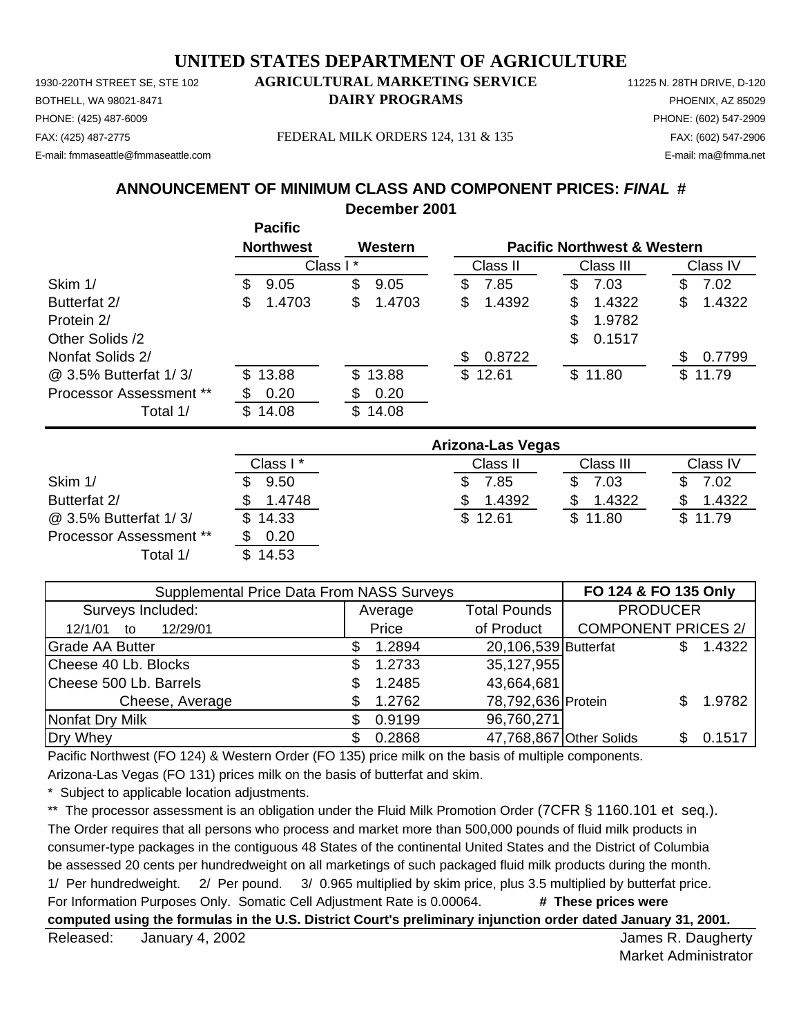1930-220TH STREET SE, STE 102 **AGRICULTURAL MARKETING SERVICE** 11225 N. 28TH DRIVE, D-120 BOTHELL, WA 98021-8471 **DAIRY PROGRAMS** PHOENIX, AZ 85029 E-mail: fmmaseattle@fmmaseattle.com E-mail: ma@fmma.net

# PHONE: (425) 487-6009 PHONE: (602) 547-2909

FAX: (425) 487-2775 FEDERAL MILK ORDERS 124, 131 & 135 FAX: (602) 547-2906

### **ANNOUNCEMENT OF MINIMUM CLASS AND COMPONENT PRICES:** *FINAL* **#**

**December 2001**

|                         |    | <b>Pacific</b>   |          |         |              |    |                                        |              |
|-------------------------|----|------------------|----------|---------|--------------|----|----------------------------------------|--------------|
|                         |    | <b>Northwest</b> |          | Western |              |    | <b>Pacific Northwest &amp; Western</b> |              |
|                         |    |                  | Class I* |         | Class II     |    | Class III                              | Class IV     |
| Skim 1/                 | S  | 9.05             | \$       | 9.05    | \$<br>7.85   | S  | 7.03                                   | \$<br>7.02   |
| Butterfat 2/            | S  | 1.4703           | \$       | 1.4703  | \$<br>1.4392 | \$ | 1.4322                                 | \$<br>1.4322 |
| Protein 2/              |    |                  |          |         |              | \$ | 1.9782                                 |              |
| Other Solids /2         |    |                  |          |         |              | \$ | 0.1517                                 |              |
| Nonfat Solids 2/        |    |                  |          |         | \$<br>0.8722 |    |                                        | 0.7799       |
| @ 3.5% Butterfat 1/3/   |    | \$13.88          |          | \$13.88 | \$12.61      |    | \$11.80                                | \$11.79      |
| Processor Assessment ** |    | 0.20             | S        | 0.20    |              |    |                                        |              |
| Total 1/                | \$ | 14.08            | \$       | 14.08   |              |    |                                        |              |

|                                | Arizona-Las Vegas |          |           |          |  |  |
|--------------------------------|-------------------|----------|-----------|----------|--|--|
|                                | Class I*          | Class II | Class III | Class IV |  |  |
| Skim 1/                        | 9.50              | 7.85     | 7.03      | 7.02     |  |  |
| Butterfat 2/                   | 1.4748            | 1.4392   | 1.4322    | 1.4322   |  |  |
| @ 3.5% Butterfat 1/3/          | \$14.33           | \$12.61  | \$11.80   | \$11.79  |  |  |
| <b>Processor Assessment **</b> | 0.20              |          |           |          |  |  |
| Total 1/                       | \$14.53           |          |           |          |  |  |

| <b>Supplemental Price Data From NASS Surveys</b> | FO 124 & FO 135 Only |         |                         |                            |     |        |
|--------------------------------------------------|----------------------|---------|-------------------------|----------------------------|-----|--------|
| Surveys Included:                                |                      | Average | <b>PRODUCER</b>         |                            |     |        |
| 12/29/01<br>12/1/01<br>to                        |                      | Price   | of Product              | <b>COMPONENT PRICES 2/</b> |     |        |
| <b>Grade AA Butter</b>                           |                      | 1.2894  | 20,106,539 Butterfat    |                            | \$. | 1.4322 |
| Cheese 40 Lb. Blocks                             | S                    | 1.2733  | 35,127,955              |                            |     |        |
| Cheese 500 Lb. Barrels                           |                      | 1.2485  | 43,664,681              |                            |     |        |
| Cheese, Average                                  | S                    | 1.2762  | 78,792,636 Protein      |                            |     | 1.9782 |
| Nonfat Dry Milk                                  |                      | 0.9199  | 96,760,271              |                            |     |        |
| Dry Whey                                         |                      | 0.2868  | 47,768,867 Other Solids |                            | S.  | 0.1517 |

Pacific Northwest (FO 124) & Western Order (FO 135) price milk on the basis of multiple components.

Arizona-Las Vegas (FO 131) prices milk on the basis of butterfat and skim.

Subject to applicable location adjustments.

\*\* The processor assessment is an obligation under the Fluid Milk Promotion Order (7CFR § 1160.101 et seq.). The Order requires that all persons who process and market more than 500,000 pounds of fluid milk products in consumer-type packages in the contiguous 48 States of the continental United States and the District of Columbia be assessed 20 cents per hundredweight on all marketings of such packaged fluid milk products during the month. 1/ Per hundredweight. 2/ Per pound. 3/ 0.965 multiplied by skim price, plus 3.5 multiplied by butterfat price. For Information Purposes Only. Somatic Cell Adjustment Rate is 0.00064. **# These prices were computed using the formulas in the U.S. District Court's preliminary injunction order dated January 31, 2001.**